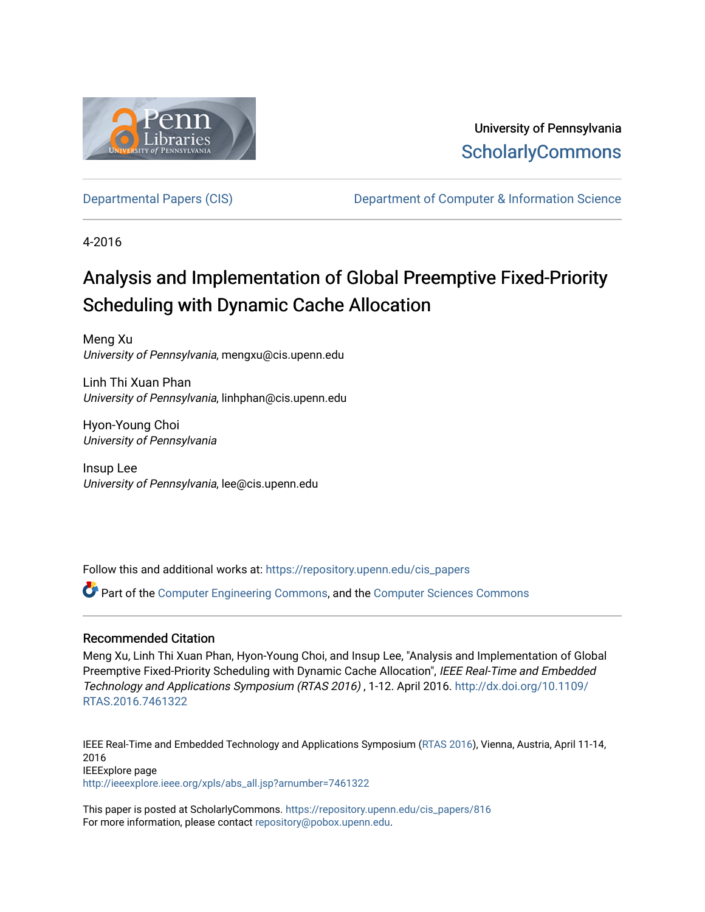

University of Pennsylvania **ScholarlyCommons** 

[Departmental Papers \(CIS\)](https://repository.upenn.edu/cis_papers) [Department of Computer & Information Science](https://repository.upenn.edu/cis) 

4-2016

# Analysis and Implementation of Global Preemptive Fixed-Priority Scheduling with Dynamic Cache Allocation

Meng Xu University of Pennsylvania, mengxu@cis.upenn.edu

Linh Thi Xuan Phan University of Pennsylvania, linhphan@cis.upenn.edu

Hyon-Young Choi University of Pennsylvania

Insup Lee University of Pennsylvania, lee@cis.upenn.edu

Follow this and additional works at: [https://repository.upenn.edu/cis\\_papers](https://repository.upenn.edu/cis_papers?utm_source=repository.upenn.edu%2Fcis_papers%2F816&utm_medium=PDF&utm_campaign=PDFCoverPages)

Part of the [Computer Engineering Commons,](http://network.bepress.com/hgg/discipline/258?utm_source=repository.upenn.edu%2Fcis_papers%2F816&utm_medium=PDF&utm_campaign=PDFCoverPages) and the [Computer Sciences Commons](http://network.bepress.com/hgg/discipline/142?utm_source=repository.upenn.edu%2Fcis_papers%2F816&utm_medium=PDF&utm_campaign=PDFCoverPages) 

### Recommended Citation

Meng Xu, Linh Thi Xuan Phan, Hyon-Young Choi, and Insup Lee, "Analysis and Implementation of Global Preemptive Fixed-Priority Scheduling with Dynamic Cache Allocation", IEEE Real-Time and Embedded Technology and Applications Symposium (RTAS 2016) , 1-12. April 2016. [http://dx.doi.org/10.1109/](http://dx.doi.org/10.1109/RTAS.2016.7461322) [RTAS.2016.7461322](http://dx.doi.org/10.1109/RTAS.2016.7461322) 

IEEE Real-Time and Embedded Technology and Applications Symposium ([RTAS 2016\)](http://2016.rtas.org/), Vienna, Austria, April 11-14, 2016 IEEExplore page [http://ieeexplore.ieee.org/xpls/abs\\_all.jsp?arnumber=7461322](http://ieeexplore.ieee.org/xpls/abs_all.jsp?arnumber=7461322) 

This paper is posted at ScholarlyCommons. [https://repository.upenn.edu/cis\\_papers/816](https://repository.upenn.edu/cis_papers/816)  For more information, please contact [repository@pobox.upenn.edu.](mailto:repository@pobox.upenn.edu)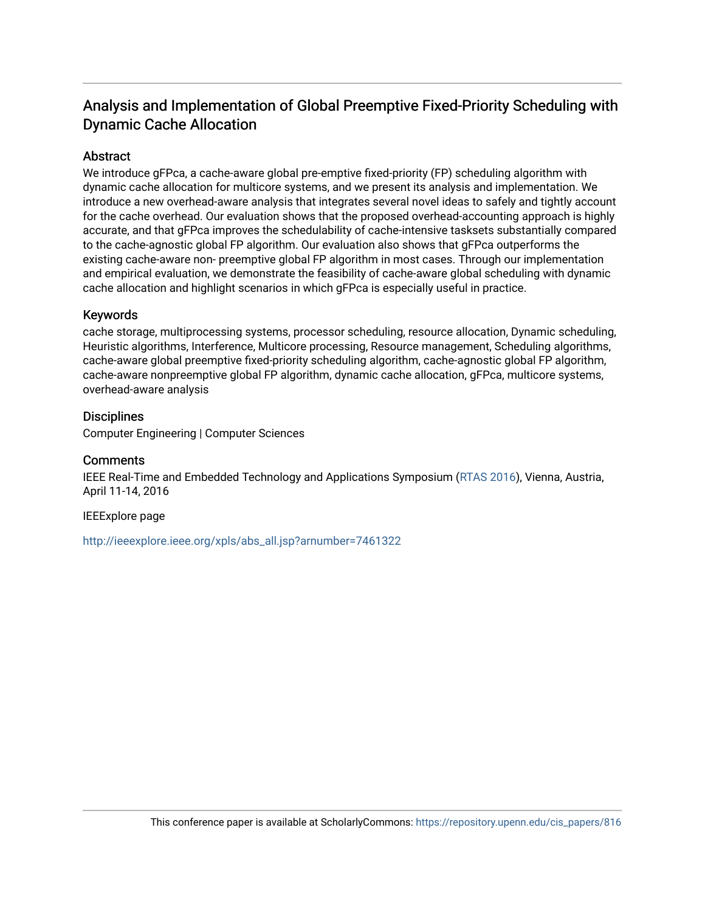## Analysis and Implementation of Global Preemptive Fixed-Priority Scheduling with Dynamic Cache Allocation

## Abstract

We introduce gFPca, a cache-aware global pre-emptive fixed-priority (FP) scheduling algorithm with dynamic cache allocation for multicore systems, and we present its analysis and implementation. We introduce a new overhead-aware analysis that integrates several novel ideas to safely and tightly account for the cache overhead. Our evaluation shows that the proposed overhead-accounting approach is highly accurate, and that gFPca improves the schedulability of cache-intensive tasksets substantially compared to the cache-agnostic global FP algorithm. Our evaluation also shows that gFPca outperforms the existing cache-aware non- preemptive global FP algorithm in most cases. Through our implementation and empirical evaluation, we demonstrate the feasibility of cache-aware global scheduling with dynamic cache allocation and highlight scenarios in which gFPca is especially useful in practice.

## Keywords

cache storage, multiprocessing systems, processor scheduling, resource allocation, Dynamic scheduling, Heuristic algorithms, Interference, Multicore processing, Resource management, Scheduling algorithms, cache-aware global preemptive fixed-priority scheduling algorithm, cache-agnostic global FP algorithm, cache-aware nonpreemptive global FP algorithm, dynamic cache allocation, gFPca, multicore systems, overhead-aware analysis

## **Disciplines**

Computer Engineering | Computer Sciences

## **Comments**

IEEE Real-Time and Embedded Technology and Applications Symposium [\(RTAS 2016](http://2016.rtas.org/)), Vienna, Austria, April 11-14, 2016

### IEEExplore page

[http://ieeexplore.ieee.org/xpls/abs\\_all.jsp?arnumber=7461322](http://ieeexplore.ieee.org/xpls/abs_all.jsp?arnumber=7461322)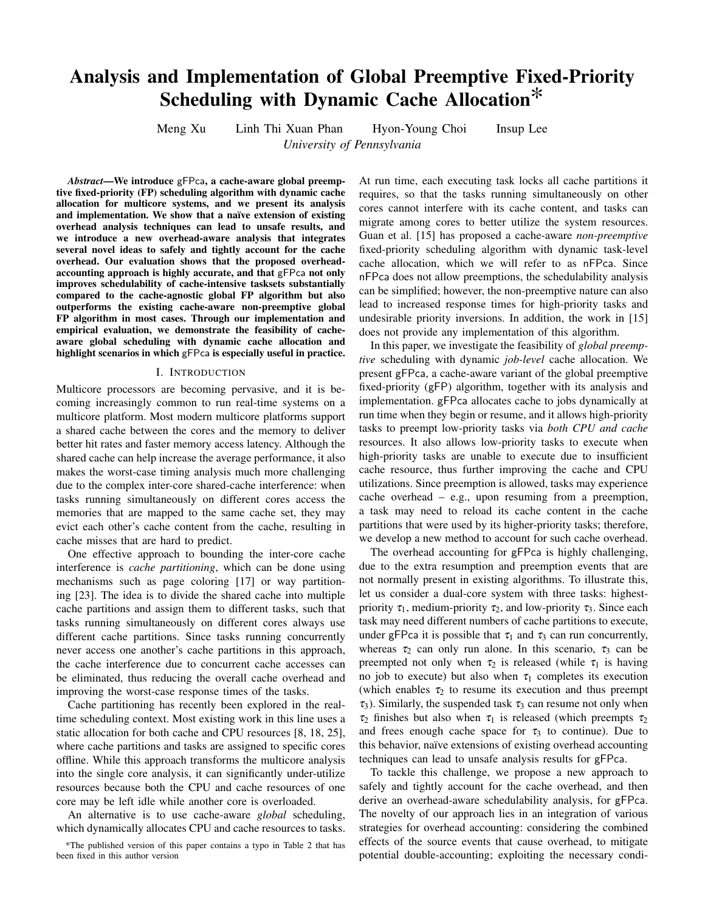## Analysis and Implementation of Global Preemptive Fixed-Priority Scheduling with Dynamic Cache Allocation\*

Meng Xu Linh Thi Xuan Phan Hyon-Young Choi Insup Lee

*University of Pennsylvania*

*Abstract*—We introduce gFPca, a cache-aware global preemptive fixed-priority (FP) scheduling algorithm with dynamic cache allocation for multicore systems, and we present its analysis and implementation. We show that a naïve extension of existing overhead analysis techniques can lead to unsafe results, and we introduce a new overhead-aware analysis that integrates several novel ideas to safely and tightly account for the cache overhead. Our evaluation shows that the proposed overheadaccounting approach is highly accurate, and that gFPca not only improves schedulability of cache-intensive tasksets substantially compared to the cache-agnostic global FP algorithm but also outperforms the existing cache-aware non-preemptive global FP algorithm in most cases. Through our implementation and empirical evaluation, we demonstrate the feasibility of cacheaware global scheduling with dynamic cache allocation and highlight scenarios in which gFPca is especially useful in practice.

#### I. INTRODUCTION

Multicore processors are becoming pervasive, and it is becoming increasingly common to run real-time systems on a multicore platform. Most modern multicore platforms support a shared cache between the cores and the memory to deliver better hit rates and faster memory access latency. Although the shared cache can help increase the average performance, it also makes the worst-case timing analysis much more challenging due to the complex inter-core shared-cache interference: when tasks running simultaneously on different cores access the memories that are mapped to the same cache set, they may evict each other's cache content from the cache, resulting in cache misses that are hard to predict.

One effective approach to bounding the inter-core cache interference is *cache partitioning*, which can be done using mechanisms such as page coloring [17] or way partitioning [23]. The idea is to divide the shared cache into multiple cache partitions and assign them to different tasks, such that tasks running simultaneously on different cores always use different cache partitions. Since tasks running concurrently never access one another's cache partitions in this approach, the cache interference due to concurrent cache accesses can be eliminated, thus reducing the overall cache overhead and improving the worst-case response times of the tasks.

Cache partitioning has recently been explored in the realtime scheduling context. Most existing work in this line uses a static allocation for both cache and CPU resources [8, 18, 25], where cache partitions and tasks are assigned to specific cores offline. While this approach transforms the multicore analysis into the single core analysis, it can significantly under-utilize resources because both the CPU and cache resources of one core may be left idle while another core is overloaded.

An alternative is to use cache-aware *global* scheduling, which dynamically allocates CPU and cache resources to tasks. At run time, each executing task locks all cache partitions it requires, so that the tasks running simultaneously on other cores cannot interfere with its cache content, and tasks can migrate among cores to better utilize the system resources. Guan et al. [15] has proposed a cache-aware *non-preemptive* fixed-priority scheduling algorithm with dynamic task-level cache allocation, which we will refer to as nFPca. Since nFPca does not allow preemptions, the schedulability analysis can be simplified; however, the non-preemptive nature can also lead to increased response times for high-priority tasks and undesirable priority inversions. In addition, the work in [15] does not provide any implementation of this algorithm.

In this paper, we investigate the feasibility of *global preemptive* scheduling with dynamic *job-level* cache allocation. We present gFPca, a cache-aware variant of the global preemptive fixed-priority (gFP) algorithm, together with its analysis and implementation. gFPca allocates cache to jobs dynamically at run time when they begin or resume, and it allows high-priority tasks to preempt low-priority tasks via *both CPU and cache* resources. It also allows low-priority tasks to execute when high-priority tasks are unable to execute due to insufficient cache resource, thus further improving the cache and CPU utilizations. Since preemption is allowed, tasks may experience cache overhead – e.g., upon resuming from a preemption, a task may need to reload its cache content in the cache partitions that were used by its higher-priority tasks; therefore, we develop a new method to account for such cache overhead.

The overhead accounting for gFPca is highly challenging, due to the extra resumption and preemption events that are not normally present in existing algorithms. To illustrate this, let us consider a dual-core system with three tasks: highestpriority  $\tau_1$ , medium-priority  $\tau_2$ , and low-priority  $\tau_3$ . Since each task may need different numbers of cache partitions to execute, under gFPca it is possible that  $\tau_1$  and  $\tau_3$  can run concurrently, whereas  $\tau_2$  can only run alone. In this scenario,  $\tau_3$  can be preempted not only when  $\tau_2$  is released (while  $\tau_1$  is having no job to execute) but also when  $\tau_1$  completes its execution (which enables  $\tau_2$  to resume its execution and thus preempt  $\tau_3$ ). Similarly, the suspended task  $\tau_3$  can resume not only when  $\tau_2$  finishes but also when  $\tau_1$  is released (which preempts  $\tau_2$ ) and frees enough cache space for  $\tau_3$  to continue). Due to this behavior, naïve extensions of existing overhead accounting techniques can lead to unsafe analysis results for gFPca.

To tackle this challenge, we propose a new approach to safely and tightly account for the cache overhead, and then derive an overhead-aware schedulability analysis, for gFPca. The novelty of our approach lies in an integration of various strategies for overhead accounting: considering the combined effects of the source events that cause overhead, to mitigate potential double-accounting; exploiting the necessary condi-

<sup>\*</sup>The published version of this paper contains a typo in Table 2 that has been fixed in this author version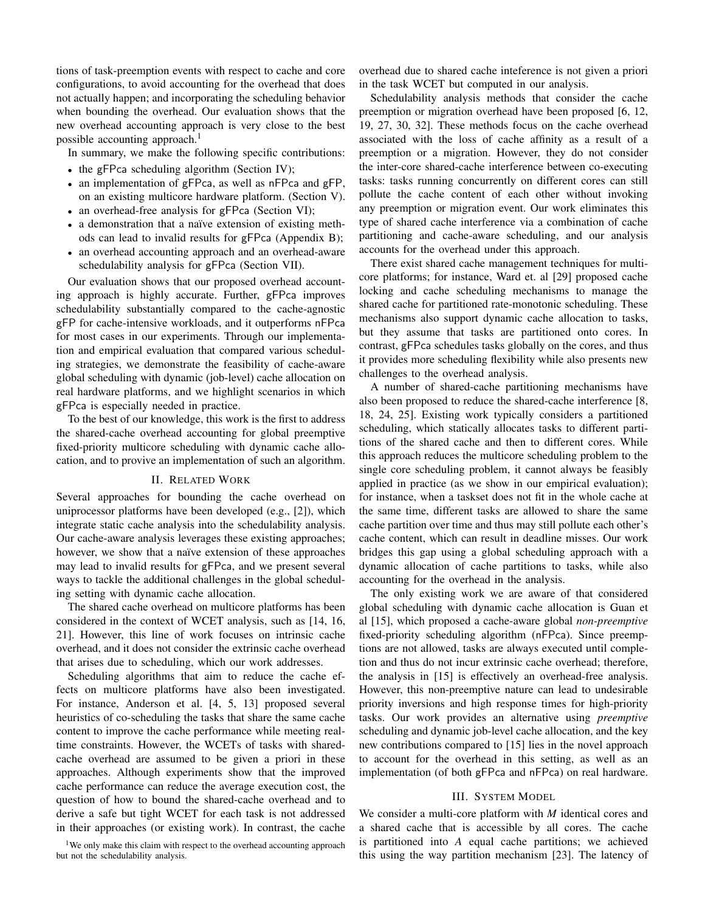tions of task-preemption events with respect to cache and core configurations, to avoid accounting for the overhead that does not actually happen; and incorporating the scheduling behavior when bounding the overhead. Our evaluation shows that the new overhead accounting approach is very close to the best possible accounting approach.<sup>1</sup>

In summary, we make the following specific contributions:

- the gFPca scheduling algorithm (Section IV);
- an implementation of gFPca, as well as nFPca and gFP, on an existing multicore hardware platform. (Section V).
- an overhead-free analysis for gFPca (Section VI);
- a demonstration that a naïve extension of existing methods can lead to invalid results for gFPca (Appendix B);
- an overhead accounting approach and an overhead-aware schedulability analysis for gFPca (Section VII).

Our evaluation shows that our proposed overhead accounting approach is highly accurate. Further, gFPca improves schedulability substantially compared to the cache-agnostic gFP for cache-intensive workloads, and it outperforms nFPca for most cases in our experiments. Through our implementation and empirical evaluation that compared various scheduling strategies, we demonstrate the feasibility of cache-aware global scheduling with dynamic (job-level) cache allocation on real hardware platforms, and we highlight scenarios in which gFPca is especially needed in practice.

To the best of our knowledge, this work is the first to address the shared-cache overhead accounting for global preemptive fixed-priority multicore scheduling with dynamic cache allocation, and to provive an implementation of such an algorithm.

#### II. RELATED WORK

Several approaches for bounding the cache overhead on uniprocessor platforms have been developed (e.g., [2]), which integrate static cache analysis into the schedulability analysis. Our cache-aware analysis leverages these existing approaches; however, we show that a naïve extension of these approaches may lead to invalid results for gFPca, and we present several ways to tackle the additional challenges in the global scheduling setting with dynamic cache allocation.

The shared cache overhead on multicore platforms has been considered in the context of WCET analysis, such as [14, 16, 21]. However, this line of work focuses on intrinsic cache overhead, and it does not consider the extrinsic cache overhead that arises due to scheduling, which our work addresses.

Scheduling algorithms that aim to reduce the cache effects on multicore platforms have also been investigated. For instance, Anderson et al. [4, 5, 13] proposed several heuristics of co-scheduling the tasks that share the same cache content to improve the cache performance while meeting realtime constraints. However, the WCETs of tasks with sharedcache overhead are assumed to be given a priori in these approaches. Although experiments show that the improved cache performance can reduce the average execution cost, the question of how to bound the shared-cache overhead and to derive a safe but tight WCET for each task is not addressed in their approaches (or existing work). In contrast, the cache

<sup>1</sup>We only make this claim with respect to the overhead accounting approach but not the schedulability analysis.

overhead due to shared cache inteference is not given a priori in the task WCET but computed in our analysis.

Schedulability analysis methods that consider the cache preemption or migration overhead have been proposed [6, 12, 19, 27, 30, 32]. These methods focus on the cache overhead associated with the loss of cache affinity as a result of a preemption or a migration. However, they do not consider the inter-core shared-cache interference between co-executing tasks: tasks running concurrently on different cores can still pollute the cache content of each other without invoking any preemption or migration event. Our work eliminates this type of shared cache interference via a combination of cache partitioning and cache-aware scheduling, and our analysis accounts for the overhead under this approach.

There exist shared cache management techniques for multicore platforms; for instance, Ward et. al [29] proposed cache locking and cache scheduling mechanisms to manage the shared cache for partitioned rate-monotonic scheduling. These mechanisms also support dynamic cache allocation to tasks, but they assume that tasks are partitioned onto cores. In contrast, gFPca schedules tasks globally on the cores, and thus it provides more scheduling flexibility while also presents new challenges to the overhead analysis.

A number of shared-cache partitioning mechanisms have also been proposed to reduce the shared-cache interference [8, 18, 24, 25]. Existing work typically considers a partitioned scheduling, which statically allocates tasks to different partitions of the shared cache and then to different cores. While this approach reduces the multicore scheduling problem to the single core scheduling problem, it cannot always be feasibly applied in practice (as we show in our empirical evaluation); for instance, when a taskset does not fit in the whole cache at the same time, different tasks are allowed to share the same cache partition over time and thus may still pollute each other's cache content, which can result in deadline misses. Our work bridges this gap using a global scheduling approach with a dynamic allocation of cache partitions to tasks, while also accounting for the overhead in the analysis.

The only existing work we are aware of that considered global scheduling with dynamic cache allocation is Guan et al [15], which proposed a cache-aware global *non-preemptive* fixed-priority scheduling algorithm (nFPca). Since preemptions are not allowed, tasks are always executed until completion and thus do not incur extrinsic cache overhead; therefore, the analysis in [15] is effectively an overhead-free analysis. However, this non-preemptive nature can lead to undesirable priority inversions and high response times for high-priority tasks. Our work provides an alternative using *preemptive* scheduling and dynamic job-level cache allocation, and the key new contributions compared to [15] lies in the novel approach to account for the overhead in this setting, as well as an implementation (of both gFPca and nFPca) on real hardware.

#### III. SYSTEM MODEL

We consider a multi-core platform with *M* identical cores and a shared cache that is accessible by all cores. The cache is partitioned into *A* equal cache partitions; we achieved this using the way partition mechanism [23]. The latency of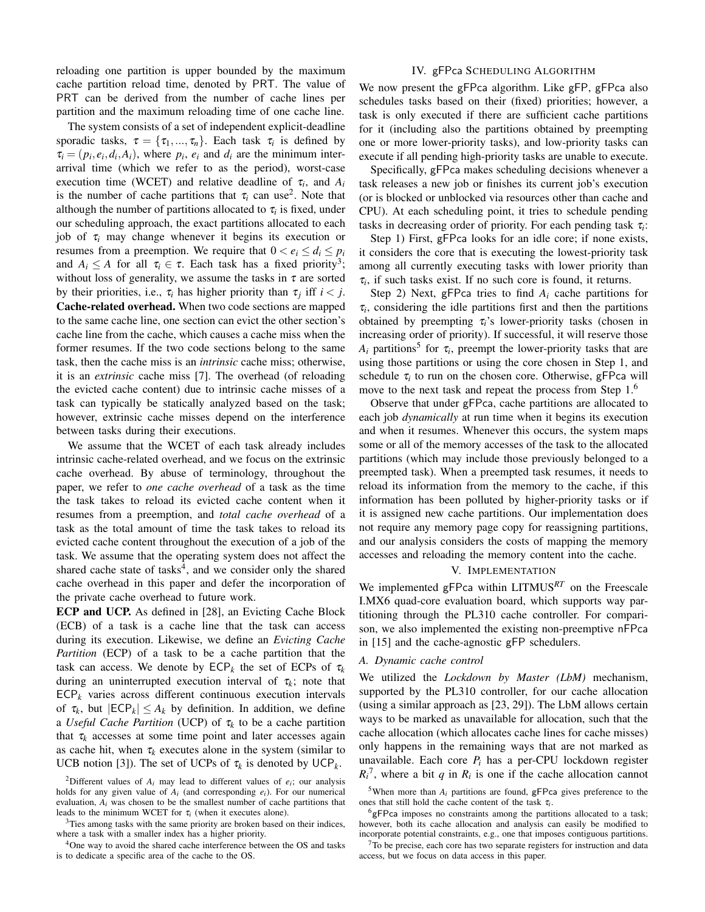reloading one partition is upper bounded by the maximum cache partition reload time, denoted by PRT. The value of PRT can be derived from the number of cache lines per partition and the maximum reloading time of one cache line.

The system consists of a set of independent explicit-deadline sporadic tasks,  $\tau = {\tau_1,...,\tau_n}$ . Each task  $\tau_i$  is defined by  $\tau_i = (p_i, e_i, d_i, A_i)$ , where  $p_i$ ,  $e_i$  and  $d_i$  are the minimum interarrival time (which we refer to as the period), worst-case execution time (WCET) and relative deadline of  $\tau_i$ , and  $A_i$ is the number of cache partitions that  $\tau_i$  can use<sup>2</sup>. Note that although the number of partitions allocated to  $\tau_i$  is fixed, under our scheduling approach, the exact partitions allocated to each job of  $\tau_i$  may change whenever it begins its execution or resumes from a preemption. We require that  $0 < e_i \leq d_i \leq p_i$ and  $A_i \leq A$  for all  $\tau_i \in \tau$ . Each task has a fixed priority<sup>3</sup>; without loss of generality, we assume the tasks in  $\tau$  are sorted by their priorities, i.e.,  $\tau_i$  has higher priority than  $\tau_j$  iff  $i < j$ . Cache-related overhead. When two code sections are mapped to the same cache line, one section can evict the other section's cache line from the cache, which causes a cache miss when the former resumes. If the two code sections belong to the same task, then the cache miss is an *intrinsic* cache miss; otherwise, it is an *extrinsic* cache miss [7]. The overhead (of reloading the evicted cache content) due to intrinsic cache misses of a task can typically be statically analyzed based on the task; however, extrinsic cache misses depend on the interference between tasks during their executions.

We assume that the WCET of each task already includes intrinsic cache-related overhead, and we focus on the extrinsic cache overhead. By abuse of terminology, throughout the paper, we refer to *one cache overhead* of a task as the time the task takes to reload its evicted cache content when it resumes from a preemption, and *total cache overhead* of a task as the total amount of time the task takes to reload its evicted cache content throughout the execution of a job of the task. We assume that the operating system does not affect the shared cache state of tasks<sup>4</sup>, and we consider only the shared cache overhead in this paper and defer the incorporation of the private cache overhead to future work.

ECP and UCP. As defined in [28], an Evicting Cache Block (ECB) of a task is a cache line that the task can access during its execution. Likewise, we define an *Evicting Cache Partition* (ECP) of a task to be a cache partition that the task can access. We denote by  $\mathsf{ECP}_k$  the set of ECPs of  $\tau_k$ during an uninterrupted execution interval of  $\tau_k$ ; note that  $\mathsf{ECP}_k$  varies across different continuous execution intervals of  $\tau_k$ , but  $|ECP_k| \leq A_k$  by definition. In addition, we define a *Useful Cache Partition* (UCP) of τ*<sup>k</sup>* to be a cache partition that  $\tau_k$  accesses at some time point and later accesses again as cache hit, when  $\tau_k$  executes alone in the system (similar to UCB notion [3]). The set of UCPs of  $\tau_k$  is denoted by UCP<sub>k</sub>.

<sup>4</sup>One way to avoid the shared cache interference between the OS and tasks is to dedicate a specific area of the cache to the OS.

#### IV. gFPca SCHEDULING ALGORITHM

We now present the gFPca algorithm. Like gFP, gFPca also schedules tasks based on their (fixed) priorities; however, a task is only executed if there are sufficient cache partitions for it (including also the partitions obtained by preempting one or more lower-priority tasks), and low-priority tasks can execute if all pending high-priority tasks are unable to execute.

Specifically, gFPca makes scheduling decisions whenever a task releases a new job or finishes its current job's execution (or is blocked or unblocked via resources other than cache and CPU). At each scheduling point, it tries to schedule pending tasks in decreasing order of priority. For each pending task τ*<sup>i</sup>* :

Step 1) First, gFPca looks for an idle core; if none exists, it considers the core that is executing the lowest-priority task among all currently executing tasks with lower priority than  $\tau$ <sub>*i*</sub>, if such tasks exist. If no such core is found, it returns.

Step 2) Next, gFPca tries to find  $A_i$  cache partitions for  $\tau$ <sub>*i*</sub>, considering the idle partitions first and then the partitions obtained by preempting  $\tau_i$ 's lower-priority tasks (chosen in increasing order of priority). If successful, it will reserve those  $A_i$  partitions<sup>5</sup> for  $\tau_i$ , preempt the lower-priority tasks that are using those partitions or using the core chosen in Step 1, and schedule  $\tau_i$  to run on the chosen core. Otherwise, gFPca will move to the next task and repeat the process from Step 1.<sup>6</sup>

Observe that under gFPca, cache partitions are allocated to each job *dynamically* at run time when it begins its execution and when it resumes. Whenever this occurs, the system maps some or all of the memory accesses of the task to the allocated partitions (which may include those previously belonged to a preempted task). When a preempted task resumes, it needs to reload its information from the memory to the cache, if this information has been polluted by higher-priority tasks or if it is assigned new cache partitions. Our implementation does not require any memory page copy for reassigning partitions, and our analysis considers the costs of mapping the memory accesses and reloading the memory content into the cache.

#### V. IMPLEMENTATION

We implemented gFPca within LITMUS*RT* on the Freescale I.MX6 quad-core evaluation board, which supports way partitioning through the PL310 cache controller. For comparison, we also implemented the existing non-preemptive nFPca in [15] and the cache-agnostic gFP schedulers.

#### *A. Dynamic cache control*

We utilized the *Lockdown by Master (LbM)* mechanism, supported by the PL310 controller, for our cache allocation (using a similar approach as [23, 29]). The LbM allows certain ways to be marked as unavailable for allocation, such that the cache allocation (which allocates cache lines for cache misses) only happens in the remaining ways that are not marked as unavailable. Each core  $P_i$  has a per-CPU lockdown register  $R_i^7$ , where a bit *q* in  $R_i$  is one if the cache allocation cannot

<sup>5</sup>When more than  $A_i$  partitions are found,  $gFPca$  gives preference to the ones that still hold the cache content of the task τ*<sup>i</sup>* .

<sup>6</sup>gFPca imposes no constraints among the partitions allocated to a task; however, both its cache allocation and analysis can easily be modified to incorporate potential constraints, e.g., one that imposes contiguous partitions.

<sup>7</sup>To be precise, each core has two separate registers for instruction and data access, but we focus on data access in this paper.

<sup>&</sup>lt;sup>2</sup>Different values of  $A_i$  may lead to different values of  $e_i$ ; our analysis holds for any given value of  $A_i$  (and corresponding  $e_i$ ). For our numerical evaluation,  $A_i$  was chosen to be the smallest number of cache partitions that leads to the minimum WCET for  $\tau_i$  (when it executes alone).

 $3$ Ties among tasks with the same priority are broken based on their indices, where a task with a smaller index has a higher priority.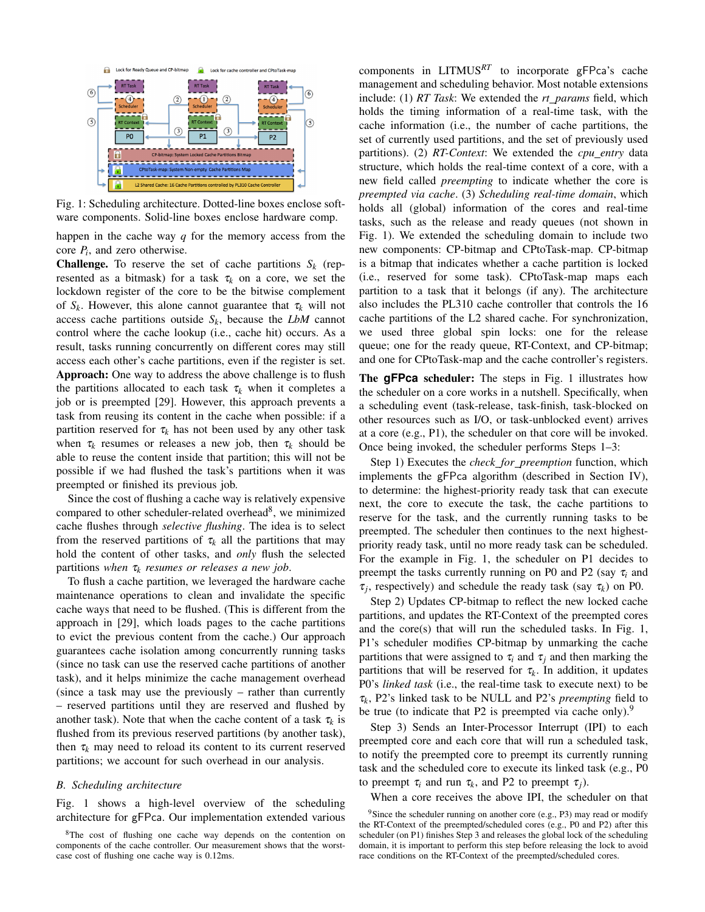

Fig. 1: Scheduling architecture. Dotted-line boxes enclose software components. Solid-line boxes enclose hardware comp.

happen in the cache way *q* for the memory access from the core  $P_i$ , and zero otherwise.

**Challenge.** To reserve the set of cache partitions  $S_k$  (represented as a bitmask) for a task  $\tau_k$  on a core, we set the lockdown register of the core to be the bitwise complement of  $S_k$ . However, this alone cannot guarantee that  $\tau_k$  will not access cache partitions outside  $S_k$ , because the *LbM* cannot control where the cache lookup (i.e., cache hit) occurs. As a result, tasks running concurrently on different cores may still access each other's cache partitions, even if the register is set. Approach: One way to address the above challenge is to flush the partitions allocated to each task  $\tau_k$  when it completes a job or is preempted [29]. However, this approach prevents a task from reusing its content in the cache when possible: if a partition reserved for  $\tau_k$  has not been used by any other task when  $\tau_k$  resumes or releases a new job, then  $\tau_k$  should be able to reuse the content inside that partition; this will not be possible if we had flushed the task's partitions when it was preempted or finished its previous job.

Since the cost of flushing a cache way is relatively expensive compared to other scheduler-related overhead<sup>8</sup>, we minimized cache flushes through *selective flushing*. The idea is to select from the reserved partitions of  $\tau_k$  all the partitions that may hold the content of other tasks, and *only* flush the selected partitions *when* τ*<sup>k</sup> resumes or releases a new job*.

To flush a cache partition, we leveraged the hardware cache maintenance operations to clean and invalidate the specific cache ways that need to be flushed. (This is different from the approach in [29], which loads pages to the cache partitions to evict the previous content from the cache.) Our approach guarantees cache isolation among concurrently running tasks (since no task can use the reserved cache partitions of another task), and it helps minimize the cache management overhead (since a task may use the previously – rather than currently – reserved partitions until they are reserved and flushed by another task). Note that when the cache content of a task  $\tau_k$  is flushed from its previous reserved partitions (by another task), then  $\tau_k$  may need to reload its content to its current reserved partitions; we account for such overhead in our analysis.

#### *B. Scheduling architecture*

Fig. 1 shows a high-level overview of the scheduling architecture for gFPca. Our implementation extended various

components in LITMUS*RT* to incorporate gFPca's cache management and scheduling behavior. Most notable extensions include: (1) *RT Task*: We extended the *rt params* field, which holds the timing information of a real-time task, with the cache information (i.e., the number of cache partitions, the set of currently used partitions, and the set of previously used partitions). (2) *RT-Context*: We extended the *cpu\_entry* data structure, which holds the real-time context of a core, with a new field called *preempting* to indicate whether the core is *preempted via cache*. (3) *Scheduling real-time domain*, which holds all (global) information of the cores and real-time tasks, such as the release and ready queues (not shown in Fig. 1). We extended the scheduling domain to include two new components: CP-bitmap and CPtoTask-map. CP-bitmap is a bitmap that indicates whether a cache partition is locked (i.e., reserved for some task). CPtoTask-map maps each partition to a task that it belongs (if any). The architecture also includes the PL310 cache controller that controls the 16 cache partitions of the L2 shared cache. For synchronization, we used three global spin locks: one for the release queue; one for the ready queue, RT-Context, and CP-bitmap; and one for CPtoTask-map and the cache controller's registers.

The **gFPca** scheduler: The steps in Fig. 1 illustrates how the scheduler on a core works in a nutshell. Specifically, when a scheduling event (task-release, task-finish, task-blocked on other resources such as I/O, or task-unblocked event) arrives at a core (e.g., P1), the scheduler on that core will be invoked. Once being invoked, the scheduler performs Steps 1–3:

Step 1) Executes the *check for preemption* function, which implements the gFPca algorithm (described in Section IV), to determine: the highest-priority ready task that can execute next, the core to execute the task, the cache partitions to reserve for the task, and the currently running tasks to be preempted. The scheduler then continues to the next highestpriority ready task, until no more ready task can be scheduled. For the example in Fig. 1, the scheduler on P1 decides to preempt the tasks currently running on P0 and P2 (say  $\tau_i$  and  $\tau_j$ , respectively) and schedule the ready task (say  $\tau_k$ ) on P0.

Step 2) Updates CP-bitmap to reflect the new locked cache partitions, and updates the RT-Context of the preempted cores and the core(s) that will run the scheduled tasks. In Fig. 1, P1's scheduler modifies CP-bitmap by unmarking the cache partitions that were assigned to  $\tau_i$  and  $\tau_j$  and then marking the partitions that will be reserved for  $\tau_k$ . In addition, it updates P0's *linked task* (i.e., the real-time task to execute next) to be τ*k* , P2's linked task to be NULL and P2's *preempting* field to be true (to indicate that P2 is preempted via cache only).<sup>9</sup>

Step 3) Sends an Inter-Processor Interrupt (IPI) to each preempted core and each core that will run a scheduled task, to notify the preempted core to preempt its currently running task and the scheduled core to execute its linked task (e.g., P0 to preempt  $\tau_i$  and run  $\tau_k$ , and P2 to preempt  $\tau_j$ ).

When a core receives the above IPI, the scheduler on that

<sup>&</sup>lt;sup>8</sup>The cost of flushing one cache way depends on the contention on components of the cache controller. Our measurement shows that the worstcase cost of flushing one cache way is 0.12ms.

 $9$ Since the scheduler running on another core (e.g., P3) may read or modify the RT-Context of the preempted/scheduled cores (e.g., P0 and P2) after this scheduler (on P1) finishes Step 3 and releases the global lock of the scheduling domain, it is important to perform this step before releasing the lock to avoid race conditions on the RT-Context of the preempted/scheduled cores.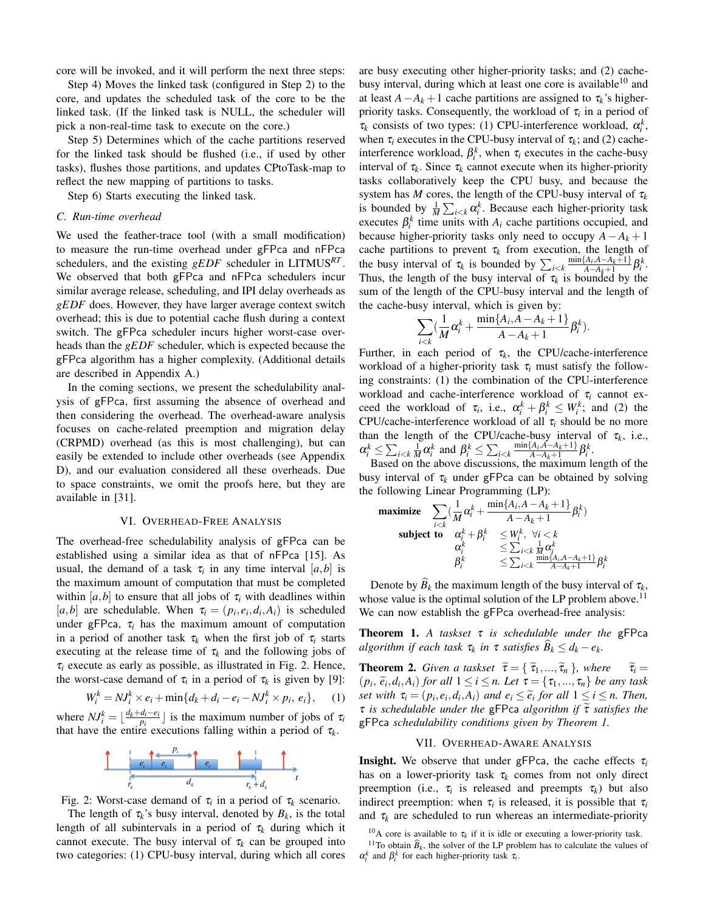core will be invoked, and it will perform the next three steps:

Step 4) Moves the linked task (configured in Step 2) to the core, and updates the scheduled task of the core to be the linked task. (If the linked task is NULL, the scheduler will pick a non-real-time task to execute on the core.)

Step 5) Determines which of the cache partitions reserved for the linked task should be flushed (i.e., if used by other tasks), flushes those partitions, and updates CPtoTask-map to reflect the new mapping of partitions to tasks.

Step 6) Starts executing the linked task.

#### *C. Run-time overhead*

We used the feather-trace tool (with a small modification) to measure the run-time overhead under gFPca and nFPca schedulers, and the existing *gEDF* scheduler in LITMUS*RT* . We observed that both gFPca and nFPca schedulers incur similar average release, scheduling, and IPI delay overheads as *gEDF* does. However, they have larger average context switch overhead; this is due to potential cache flush during a context switch. The gFPca scheduler incurs higher worst-case overheads than the *gEDF* scheduler, which is expected because the gFPca algorithm has a higher complexity. (Additional details are described in Appendix A.)

In the coming sections, we present the schedulability analysis of gFPca, first assuming the absence of overhead and then considering the overhead. The overhead-aware analysis focuses on cache-related preemption and migration delay (CRPMD) overhead (as this is most challenging), but can easily be extended to include other overheads (see Appendix D), and our evaluation considered all these overheads. Due to space constraints, we omit the proofs here, but they are available in [31].

#### VI. OVERHEAD-FREE ANALYSIS

The overhead-free schedulability analysis of gFPca can be established using a similar idea as that of nFPca [15]. As usual, the demand of a task  $\tau_i$  in any time interval  $[a,b]$  is the maximum amount of computation that must be completed within  $[a,b]$  to ensure that all jobs of  $\tau_i$  with deadlines within [*a*,*b*] are schedulable. When  $\tau_i = (p_i, e_i, d_i, A_i)$  is scheduled under gFPca,  $\tau_i$  has the maximum amount of computation in a period of another task  $\tau_k$  when the first job of  $\tau_i$  starts executing at the release time of  $\tau_k$  and the following jobs of  $\tau_i$  execute as early as possible, as illustrated in Fig. 2. Hence, the worst-case demand of  $\tau_i$  in a period of  $\tau_k$  is given by [9]:

 $W_i^k = NJ_i^k \times e_i + \min\{d_k + d_i - e_i - NJ_i^k \times p_i, e_i\},$  (1)

where  $NJ_i^k = \lfloor \frac{d_k + d_i - e_i}{p_i} \rfloor$  is the maximum number of jobs of  $\tau_i$ that have the entire executions falling within a period of  $\tau_k$ .



Fig. 2: Worst-case demand of  $\tau_i$  in a period of  $\tau_k$  scenario.

The length of  $\tau_k$ 's busy interval, denoted by  $B_k$ , is the total length of all subintervals in a period of  $\tau_k$  during which it cannot execute. The busy interval of  $\tau_k$  can be grouped into two categories: (1) CPU-busy interval, during which all cores are busy executing other higher-priority tasks; and (2) cachebusy interval, during which at least one core is available<sup>10</sup> and at least  $A - A_k + 1$  cache partitions are assigned to  $\tau_k$ 's higherpriority tasks. Consequently, the workload of τ*<sup>i</sup>* in a period of  $\tau_k$  consists of two types: (1) CPU-interference workload,  $\alpha_i^k$ , when  $\tau_i$  executes in the CPU-busy interval of  $\tau_k$ ; and (2) cacheinterference workload,  $\beta_i^k$ , when  $\tau_i$  executes in the cache-busy interval of  $\tau_k$ . Since  $\tau_k$  cannot execute when its higher-priority tasks collaboratively keep the CPU busy, and because the system has *M* cores, the length of the CPU-busy interval of  $\tau_k$ is bounded by  $\frac{1}{M} \sum_{i \leq k} \alpha_i^k$ . Because each higher-priority task executes  $\beta_i^k$  time units with  $A_i$  cache partitions occupied, and because higher-priority tasks only need to occupy  $A - A_k + 1$ cache partitions to prevent  $\tau_k$  from execution, the length of the busy interval of  $\tau_k$  is bounded by  $\sum_{i \leq k} \frac{\min\{A_i, A - A_k + 1\}}{A - A_k + 1}$  $\frac{A_i, A - A_k + 1}{A - A_k + 1} \beta_i^k$ . Thus, the length of the busy interval of  $\tau_k$  is bounded by the sum of the length of the CPU-busy interval and the length of the cache-busy interval, which is given by:

$$
\sum_{i
$$

Further, in each period of  $\tau_k$ , the CPU/cache-interference workload of a higher-priority task  $\tau_i$  must satisfy the following constraints: (1) the combination of the CPU-interference workload and cache-interference workload of τ*<sup>i</sup>* cannot exceed the workload of  $\tau_i$ , i.e.,  $\alpha_i^k + \beta_i^k \leq W_i^k$ ; and (2) the CPU/cache-interference workload of all  $\tau_i$  should be no more than the length of the CPU/cache-busy interval of  $\tau_k$ , i.e.,  $\alpha_i^k \le \sum_{i < k} \frac{1}{M} \alpha_i^k$  and  $\beta_i^k \le \sum_{i < k} \frac{\min\{A_i, A - A_k + 1\}}{A - A_k + 1}$  $\frac{A_i, A - A_k + 1}{A - A_k + 1} \beta_i^k$ .

Based on the above discussions, the maximum length of the busy interval of  $\tau_k$  under gFPca can be obtained by solving the following Linear Programming (LP):

$$
\begin{array}{ll}\text{maximize} & \sum_{i < k} \left( \frac{1}{M} \alpha_i^k + \frac{\min\{A_i, A - A_k + 1\}}{A - A_k + 1} \beta_i^k \right) \\ \text{subject to} & \alpha_i^k + \beta_i^k < W_i^k, \ \forall i < k \\ & \alpha_i^k < \sum_{i < k} \frac{1}{M} \alpha_j^k \\ & \beta_i^k < \sum_{i < k} \frac{\min\{A_i, A - A_k + 1\}}{A - A_k + 1} \beta_i^k \end{array}
$$

Denote by  $B_k$  the maximum length of the busy interval of  $\tau_k$ , whose value is the optimal solution of the LP problem above.<sup>11</sup> We can now establish the gFPca overhead-free analysis:

Theorem 1. *A taskset* τ *is schedulable under the* gFPca *algorithm if each task*  $\tau_k$  *in*  $\tau$  *satisfies*  $B_k \leq d_k - e_k$ .

**Theorem 2.** *Given a taskset*  $\tilde{\tau} = \{\tilde{\tau}_1, ..., \tilde{\tau}_n\}$ *, where*  $\tilde{\tau}_i =$  $(p_i, \tilde{e}_i, d_i, A_i)$  *for all*  $1 \leq i \leq n$ . Let  $\tau = {\tau_1, ..., \tau_n}$  *be any task*<br>set with  $\tau = (n, e, d, A)$  and  $e_i \leq \tilde{e}$ , for all  $1 \leq i \leq n$ . Then *set with*  $\tau_i = (p_i, e_i, d_i, A_i)$  *and*  $e_i \leq \tilde{e}_i$  *for all*  $1 \leq i \leq n$ . Then,<br> $\tau$  is schedulable under the **GEDS** algorithm if  $\tilde{\tau}$  satisfies the <sup>τ</sup> *is schedulable under the* gFPca *algorithm if* <sup>τ</sup><sup>e</sup> *satisfies the* gFPca *schedulability conditions given by Theorem 1.*

#### VII. OVERHEAD-AWARE ANALYSIS

**Insight.** We observe that under gFPca, the cache effects  $\tau_i$ has on a lower-priority task  $\tau_k$  comes from not only direct preemption (i.e.,  $\tau_i$  is released and preempts  $\tau_k$ ) but also indirect preemption: when  $\tau_i$  is released, it is possible that  $\tau_i$ and  $\tau_k$  are scheduled to run whereas an intermediate-priority

<sup>10</sup>A core is available to  $\tau_k$  if it is idle or executing a lower-priority task. <sup>11</sup>To obtain  $\widehat{B}_k$ , the solver of the LP problem has to calculate the values of  $\alpha_i^k$  and  $\beta_i^k$  for each higher-priority task  $\tau_i$ .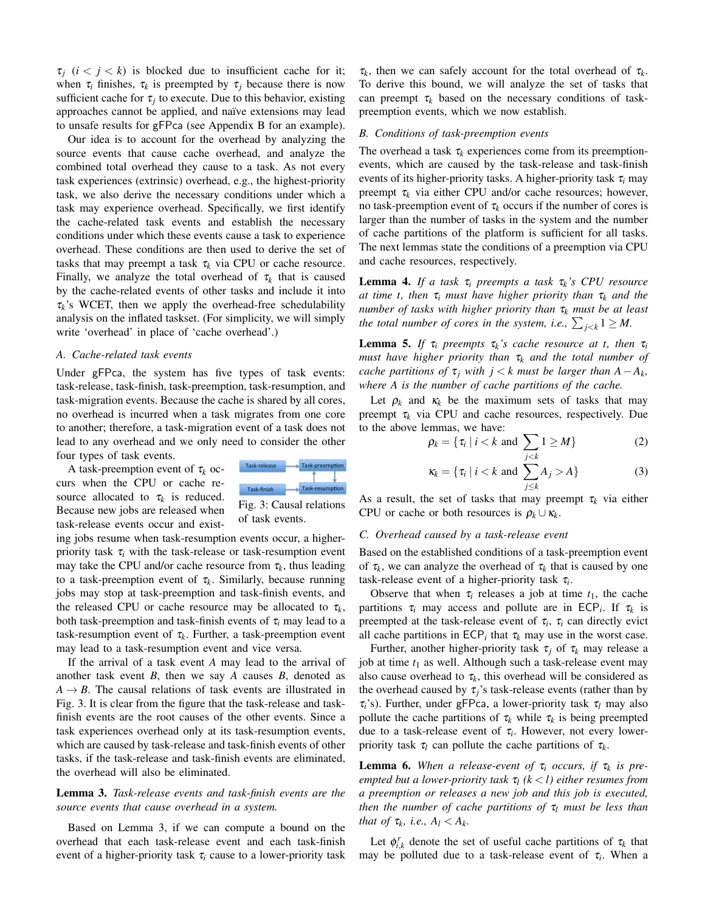$\tau_i$  ( $i < j < k$ ) is blocked due to insufficient cache for it; when  $\tau_i$  finishes,  $\tau_k$  is preempted by  $\tau_j$  because there is now sufficient cache for  $\tau_j$  to execute. Due to this behavior, existing approaches cannot be applied, and naïve extensions may lead to unsafe results for gFPca (see Appendix B for an example).

Our idea is to account for the overhead by analyzing the source events that cause cache overhead, and analyze the combined total overhead they cause to a task. As not every task experiences (extrinsic) overhead, e.g., the highest-priority task, we also derive the necessary conditions under which a task may experience overhead. Specifically, we first identify the cache-related task events and establish the necessary conditions under which these events cause a task to experience overhead. These conditions are then used to derive the set of tasks that may preempt a task  $\tau_k$  via CPU or cache resource. Finally, we analyze the total overhead of  $\tau_k$  that is caused by the cache-related events of other tasks and include it into  $\tau_k$ 's WCET, then we apply the overhead-free schedulability analysis on the inflated taskset. (For simplicity, we will simply write 'overhead' in place of 'cache overhead'.)

#### *A. Cache-related task events*

Under gFPca, the system has five types of task events: task-release, task-finish, task-preemption, task-resumption, and task-migration events. Because the cache is shared by all cores, no overhead is incurred when a task migrates from one core to another; therefore, a task-migration event of a task does not lead to any overhead and we only need to consider the other four types of task events.

A task-preemption event of  $\tau_k$  occurs when the CPU or cache resource allocated to  $\tau_k$  is reduced. Because new jobs are released when task-release events occur and exist-



Fig. 3: Causal relations of task events.

ing jobs resume when task-resumption events occur, a higherpriority task  $\tau_i$  with the task-release or task-resumption event may take the CPU and/or cache resource from  $\tau_k$ , thus leading to a task-preemption event of  $\tau_k$ . Similarly, because running jobs may stop at task-preemption and task-finish events, and the released CPU or cache resource may be allocated to  $\tau_k$ , both task-preemption and task-finish events of  $\tau$ <sub>i</sub> may lead to a task-resumption event of  $\tau_k$ . Further, a task-preemption event may lead to a task-resumption event and vice versa.

If the arrival of a task event *A* may lead to the arrival of another task event *B*, then we say *A* causes *B*, denoted as  $A \rightarrow B$ . The causal relations of task events are illustrated in Fig. 3. It is clear from the figure that the task-release and taskfinish events are the root causes of the other events. Since a task experiences overhead only at its task-resumption events, which are caused by task-release and task-finish events of other tasks, if the task-release and task-finish events are eliminated, the overhead will also be eliminated.

#### Lemma 3. *Task-release events and task-finish events are the source events that cause overhead in a system.*

Based on Lemma 3, if we can compute a bound on the overhead that each task-release event and each task-finish event of a higher-priority task  $\tau_i$  cause to a lower-priority task

 $\tau_k$ , then we can safely account for the total overhead of  $\tau_k$ . To derive this bound, we will analyze the set of tasks that can preempt  $\tau_k$  based on the necessary conditions of taskpreemption events, which we now establish.

#### *B. Conditions of task-preemption events*

The overhead a task  $\tau_k$  experiences come from its preemptionevents, which are caused by the task-release and task-finish events of its higher-priority tasks. A higher-priority task τ*<sup>i</sup>* may preempt  $\tau_k$  via either CPU and/or cache resources; however, no task-preemption event of  $\tau_k$  occurs if the number of cores is larger than the number of tasks in the system and the number of cache partitions of the platform is sufficient for all tasks. The next lemmas state the conditions of a preemption via CPU and cache resources, respectively.

**Lemma 4.** *If a task*  $\tau_i$  *preempts a task*  $\tau_k$ 's CPU *resource at time t, then* τ*<sup>i</sup> must have higher priority than* τ*<sup>k</sup> and the number of tasks with higher priority than* τ*<sup>k</sup> must be at least the total number of cores in the system, i.e.,*  $\sum_{j < k} 1 \ge M$ .

**Lemma 5.** If  $\tau_i$  preempts  $\tau_k$ 's cache resource at t, then  $\tau_i$ *must have higher priority than* τ*<sup>k</sup> and the total number of cache partitions of*  $\tau_j$  *with*  $j < k$  *must be larger than*  $A - A_k$ , *where A is the number of cache partitions of the cache.*

Let  $\rho_k$  and  $\kappa_k$  be the maximum sets of tasks that may preempt τ*<sup>k</sup>* via CPU and cache resources, respectively. Due to the above lemmas, we have:

$$
\rho_k = \{ \tau_i \mid i < k \text{ and } \sum_{j < k} 1 \ge M \} \tag{2}
$$

$$
\kappa_k = \{ \tau_i \mid i < k \text{ and } \sum_{j \le k} A_j > A \} \tag{3}
$$

As a result, the set of tasks that may preempt  $\tau_k$  via either CPU or cache or both resources is  $\rho_k \cup \kappa_k$ .

#### *C. Overhead caused by a task-release event*

Based on the established conditions of a task-preemption event of  $\tau_k$ , we can analyze the overhead of  $\tau_k$  that is caused by one task-release event of a higher-priority task τ*<sup>i</sup>* .

Observe that when  $\tau_i$  releases a job at time  $t_1$ , the cache partitions  $\tau_i$  may access and pollute are in ECP<sub>*i*</sub>. If  $\tau_k$  is preempted at the task-release event of  $\tau_i$ ,  $\tau_i$  can directly evict all cache partitions in  $\text{ECP}_i$  that  $\tau_k$  may use in the worst case.

Further, another higher-priority task  $\tau_i$  of  $\tau_k$  may release a job at time *t*<sup>1</sup> as well. Although such a task-release event may also cause overhead to  $\tau_k$ , this overhead will be considered as the overhead caused by  $\tau_i$ 's task-release events (rather than by τ*i*'s). Further, under gFPca, a lower-priority task τ*<sup>l</sup>* may also pollute the cache partitions of  $\tau_k$  while  $\tau_k$  is being preempted due to a task-release event of τ*<sup>i</sup>* . However, not every lowerpriority task  $\tau_l$  can pollute the cache partitions of  $\tau_k$ .

**Lemma 6.** When a release-event of  $\tau_i$  occurs, if  $\tau_k$  is pre*empted but a lower-priority task* τ*<sup>l</sup> (k* < *l) either resumes from a preemption or releases a new job and this job is executed, then the number of cache partitions of* τ*<sup>l</sup> must be less than that of*  $\tau_k$ , *i.e.*,  $A_l < A_k$ .

Let  $\phi_{i,k}^r$  denote the set of useful cache partitions of  $\tau_k$  that may be polluted due to a task-release event of  $\tau_i$ . When a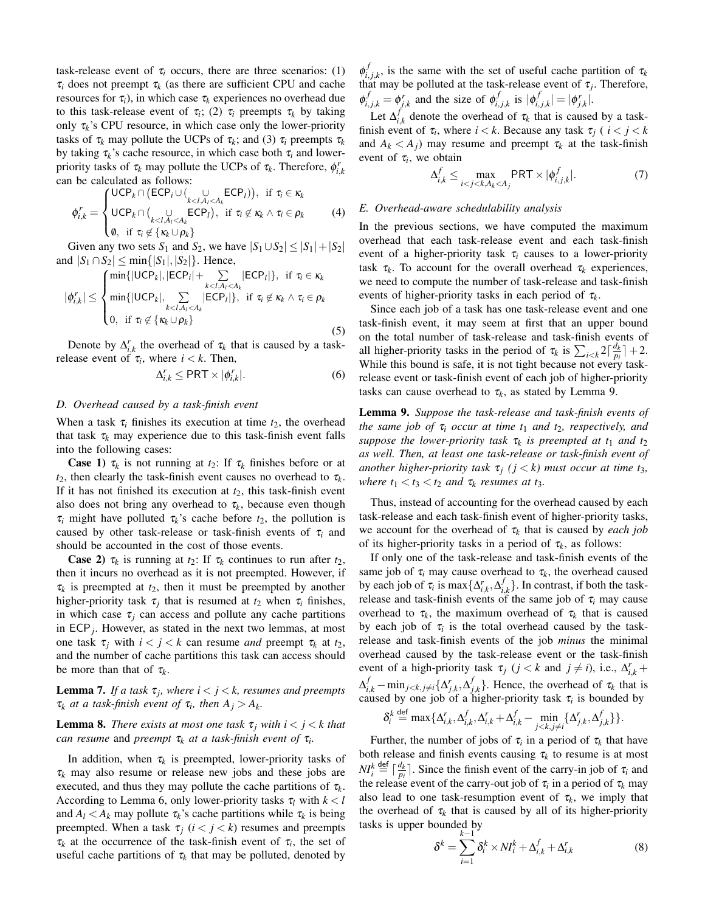task-release event of  $\tau_i$  occurs, there are three scenarios: (1)  $\tau_i$  does not preempt  $\tau_k$  (as there are sufficient CPU and cache resources for  $\tau_i$ ), in which case  $\tau_k$  experiences no overhead due to this task-release event of  $\tau_i$ ; (2)  $\tau_i$  preempts  $\tau_k$  by taking only  $\tau_k$ 's CPU resource, in which case only the lower-priority tasks of  $\tau_k$  may pollute the UCPs of  $\tau_k$ ; and (3)  $\tau_i$  preempts  $\tau_k$ by taking  $\tau_k$ 's cache resource, in which case both  $\tau_i$  and lowerpriority tasks of  $\tau_k$  may pollute the UCPs of  $\tau_k$ . Therefore,  $\phi_{i,k}^r$ can be calculated as follows:

$$
\phi_{i,k}^{r} = \begin{cases}\n\text{UCP}_{k} \cap (\text{ECP}_{i} \cup (\bigcup_{k < l, A_{i} < A_{k}} \text{ECP}_{l})), & \text{if } \tau_{i} \in \kappa_{k} \\
\text{UCP}_{k} \cap (\bigcup_{k < l, A_{i} < A_{k}} \text{ECP}_{l}), & \text{if } \tau_{i} \notin \kappa_{k} \land \tau_{i} \in \rho_{k} \\
\emptyset, & \text{if } \tau_{i} \notin \{\kappa_{k} \cup \rho_{k}\}\n\end{cases} \tag{4}
$$

Given any two sets  $S_1$  and  $S_2$ , we have  $|S_1 \cup S_2| \leq |S_1| + |S_2|$ and  $|S_1 \cap S_2|$  ≤ min{ $|S_1|$ ,  $|S_2|$ }. Hence,

$$
|\phi_{i,k}^r| \leq \begin{cases} \min\{|\text{UCP}_k|, |\text{ECP}_i| + \sum_{k < l, A_l < A_k} |\text{ECP}_l|\}, & \text{if } \tau_i \in \kappa_k\\ \min\{|\text{UCP}_k|, \sum_{k < l, A_l < A_k} |\text{ECP}_l|\}, & \text{if } \tau_i \notin \kappa_k \land \tau_i \in \rho_k\\ 0, & \text{if } \tau_i \notin \{\kappa_k \cup \rho_k\} \end{cases} \tag{5}
$$

Denote by  $\Delta_{i,k}^r$  the overhead of  $\tau_k$  that is caused by a taskrelease event of  $\tau_i$ , where  $i < k$ . Then,

$$
\Delta_{i,k}^r \le \text{PRT} \times |\phi_{i,k}^r|.\tag{6}
$$

#### *D. Overhead caused by a task-finish event*

When a task  $\tau_i$  finishes its execution at time  $t_2$ , the overhead that task  $\tau_k$  may experience due to this task-finish event falls into the following cases:

**Case 1)**  $\tau_k$  is not running at  $t_2$ : If  $\tau_k$  finishes before or at  $t_2$ , then clearly the task-finish event causes no overhead to  $\tau_k$ . If it has not finished its execution at  $t_2$ , this task-finish event also does not bring any overhead to  $\tau_k$ , because even though  $\tau_i$  might have polluted  $\tau_k$ 's cache before  $t_2$ , the pollution is caused by other task-release or task-finish events of  $\tau_i$  and should be accounted in the cost of those events.

**Case 2)**  $\tau_k$  is running at  $t_2$ : If  $\tau_k$  continues to run after  $t_2$ , then it incurs no overhead as it is not preempted. However, if  $\tau_k$  is preempted at  $t_2$ , then it must be preempted by another higher-priority task  $\tau_j$  that is resumed at  $t_2$  when  $\tau_i$  finishes, in which case  $\tau_i$  can access and pollute any cache partitions in ECP*<sup>j</sup>* . However, as stated in the next two lemmas, at most one task  $\tau_i$  with  $i < j < k$  can resume *and* preempt  $\tau_k$  at  $t_2$ , and the number of cache partitions this task can access should be more than that of  $\tau_k$ .

**Lemma 7.** If a task  $\tau_j$ , where  $i < j < k$ , resumes and preempts  $\tau_k$  *at a task-finish event of*  $\tau_i$ *, then*  $A_j > A_k$ *.* 

**Lemma 8.** *There exists at most one task*  $\tau_i$  *with*  $i < j < k$  *that can resume* and *preempt* τ*<sup>k</sup> at a task-finish event of* τ*<sup>i</sup> .*

In addition, when  $\tau_k$  is preempted, lower-priority tasks of  $\tau_k$  may also resume or release new jobs and these jobs are executed, and thus they may pollute the cache partitions of  $\tau_k$ . According to Lemma 6, only lower-priority tasks  $\tau_l$  with  $k < l$ and  $A_l < A_k$  may pollute  $\tau_k$ 's cache partitions while  $\tau_k$  is being preempted. When a task  $\tau_j$  ( $i < j < k$ ) resumes and preempts  $\tau_k$  at the occurrence of the task-finish event of  $\tau_i$ , the set of useful cache partitions of  $\tau_k$  that may be polluted, denoted by  $\phi_i^f$  $\tau_{i,j,k}^{J}$ , is the same with the set of useful cache partition of  $\tau_{k,j,k}$ that may be polluted at the task-release event of  $\tau_j$ . Therefore,  $\phi_{i,j,k}^f = \phi_{j,k}^r$  and the size of  $\phi_{i,j}^f$  $\int_{i,j,k}^{f}$  is  $|\phi_{i,j}^{f}|$  $\vert_{i,j,k}^f\vert = \vert \pmb{\phi}_{j,k}^r\vert.$ 

Let  $\Delta_i^f$  $\mathbf{z}_{i,k}^{J}$  denote the overhead of  $\tau_k$  that is caused by a taskfinish event of  $\tau_i$ , where  $i < k$ . Because any task  $\tau_j$  (  $i < j < k$ and  $A_k < A_j$  may resume and preempt  $\tau_k$  at the task-finish event of  $\tau_i$ , we obtain

$$
\Delta_{i,k}^f \leq \max_{i < j < k, A_k < A_j} \text{PRT} \times |\phi_{i,j,k}^f|.\tag{7}
$$

#### *E. Overhead-aware schedulability analysis*

In the previous sections, we have computed the maximum overhead that each task-release event and each task-finish event of a higher-priority task  $\tau_i$  causes to a lower-priority task  $\tau_k$ . To account for the overall overhead  $\tau_k$  experiences, we need to compute the number of task-release and task-finish events of higher-priority tasks in each period of  $\tau_k$ .

Since each job of a task has one task-release event and one task-finish event, it may seem at first that an upper bound on the total number of task-release and task-finish events of all higher-priority tasks in the period of  $\tau_k$  is  $\sum_{i < k} 2\lceil \frac{d_k}{p_i} \rceil + 2$ . While this bound is safe, it is not tight because not every taskrelease event or task-finish event of each job of higher-priority tasks can cause overhead to  $\tau_k$ , as stated by Lemma 9.

Lemma 9. *Suppose the task-release and task-finish events of the same job of*  $\tau_i$  *occur at time t<sub>1</sub> and t<sub>2</sub>, respectively, and suppose the lower-priority task* τ*<sup>k</sup> is preempted at t*<sup>1</sup> *and t*<sup>2</sup> *as well. Then, at least one task-release or task-finish event of another higher-priority task*  $\tau_j$  ( $j < k$ ) must occur at time t<sub>3</sub>, *where*  $t_1 < t_3 < t_2$  *and*  $\tau_k$  *resumes at*  $t_3$ *.* 

Thus, instead of accounting for the overhead caused by each task-release and each task-finish event of higher-priority tasks, we account for the overhead of  $\tau_k$  that is caused by *each job* of its higher-priority tasks in a period of  $\tau_k$ , as follows:

If only one of the task-release and task-finish events of the same job of  $\tau_i$  may cause overhead to  $\tau_k$ , the overhead caused by each job of  $\tau_i$  is max  $\{\Delta_{i,k}^r, \Delta_{i,k}^f\}$  $\{a_{i,k}\}$ . In contrast, if both the taskrelease and task-finish events of the same job of  $\tau_i$  may cause overhead to  $\tau_k$ , the maximum overhead of  $\tau_k$  that is caused by each job of  $\tau$ <sup>*i*</sup> is the total overhead caused by the taskrelease and task-finish events of the job *minus* the minimal overhead caused by the task-release event or the task-finish event of a high-priority task  $\tau_j$  (*j* < *k* and *j*  $\neq$  *i*), i.e.,  $\Delta_{i,k}^r$  +  $\Delta_{i,k}^f$  –  $\min_{j < k, j \neq i} \{ \Delta_{j,k}^r, \Delta_j^f \}$  $\{f_{j,k}\}$ . Hence, the overhead of  $\tau_k$  that is caused by one job of a higher-priority task  $\tau_i$  is bounded by

$$
\delta_i^k \stackrel{\text{def}}{=} \max \{ \Delta_{i,k}^r, \Delta_{i,k}^f, \Delta_{i,k}^r + \Delta_{i,k}^f - \min_{j < k, j \neq i} \{ \Delta_{j,k}^r, \Delta_{j,k}^f \} \}.
$$

Further, the number of jobs of  $\tau_i$  in a period of  $\tau_k$  that have both release and finish events causing  $\tau_k$  to resume is at most  $NI_i^k \stackrel{\text{def}}{=} \left\lceil \frac{d_k}{p_i} \right\rceil$ . Since the finish event of the carry-in job of  $\tau_i$  and the release event of the carry-out job of  $\tau_i$  in a period of  $\tau_k$  may also lead to one task-resumption event of  $\tau_k$ , we imply that the overhead of  $\tau_k$  that is caused by all of its higher-priority tasks is upper bounded by *k*−1

$$
\delta^k = \sum_{i=1}^{k-1} \delta_i^k \times N I_i^k + \Delta_{i,k}^f + \Delta_{i,k}^r \tag{8}
$$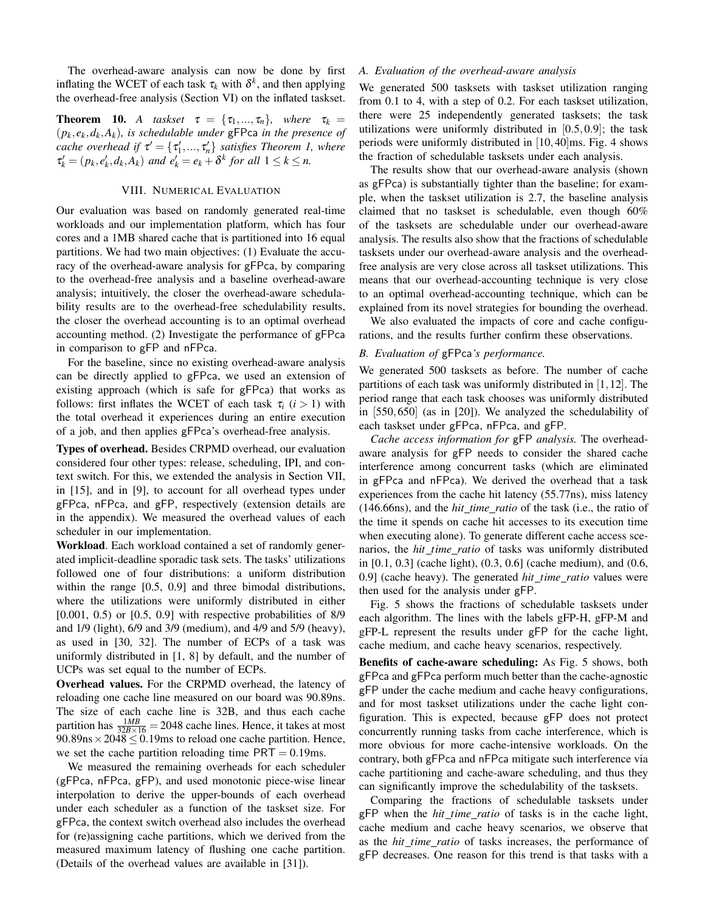The overhead-aware analysis can now be done by first inflating the WCET of each task  $\tau_k$  with  $\delta^k$ , and then applying the overhead-free analysis (Section VI) on the inflated taskset.

**Theorem 10.** *A taskset*  $\tau = {\tau_1, ..., \tau_n}$ *, where*  $\tau_k =$  $(p_k, e_k, d_k, A_k)$ , is schedulable under gFPca in the presence of *cache overhead if*  $\tau' = {\tau'_1, ..., \tau'_n}$  *satisfies Theorem 1, where*  $\tau'_k = (p_k, e'_k, d_k, A_k)$  *and*  $e'_k = e_k + \delta^k$  *for all*  $1 \leq k \leq n$ .

#### VIII. NUMERICAL EVALUATION

Our evaluation was based on randomly generated real-time workloads and our implementation platform, which has four cores and a 1MB shared cache that is partitioned into 16 equal partitions. We had two main objectives: (1) Evaluate the accuracy of the overhead-aware analysis for gFPca, by comparing to the overhead-free analysis and a baseline overhead-aware analysis; intuitively, the closer the overhead-aware schedulability results are to the overhead-free schedulability results, the closer the overhead accounting is to an optimal overhead accounting method. (2) Investigate the performance of gFPca in comparison to gFP and nFPca.

For the baseline, since no existing overhead-aware analysis can be directly applied to gFPca, we used an extension of existing approach (which is safe for gFPca) that works as follows: first inflates the WCET of each task  $\tau_i$  ( $i > 1$ ) with the total overhead it experiences during an entire execution of a job, and then applies gFPca's overhead-free analysis.

Types of overhead. Besides CRPMD overhead, our evaluation considered four other types: release, scheduling, IPI, and context switch. For this, we extended the analysis in Section VII, in [15], and in [9], to account for all overhead types under gFPca, nFPca, and gFP, respectively (extension details are in the appendix). We measured the overhead values of each scheduler in our implementation.

Workload. Each workload contained a set of randomly generated implicit-deadline sporadic task sets. The tasks' utilizations followed one of four distributions: a uniform distribution within the range [0.5, 0.9] and three bimodal distributions, where the utilizations were uniformly distributed in either [0.001, 0.5) or [0.5, 0.9] with respective probabilities of 8/9 and 1/9 (light), 6/9 and 3/9 (medium), and 4/9 and 5/9 (heavy), as used in [30, 32]. The number of ECPs of a task was uniformly distributed in [1, 8] by default, and the number of UCPs was set equal to the number of ECPs.

Overhead values. For the CRPMD overhead, the latency of reloading one cache line measured on our board was 90.89ns. The size of each cache line is 32B, and thus each cache partition has  $\frac{1MB}{32B \times 16} = 2048$  cache lines. Hence, it takes at most  $90.89$ ns × 2048  $\leq 0.19$ ms to reload one cache partition. Hence, we set the cache partition reloading time  $PRT = 0.19$ ms.

We measured the remaining overheads for each scheduler (gFPca, nFPca, gFP), and used monotonic piece-wise linear interpolation to derive the upper-bounds of each overhead under each scheduler as a function of the taskset size. For gFPca, the context switch overhead also includes the overhead for (re)assigning cache partitions, which we derived from the measured maximum latency of flushing one cache partition. (Details of the overhead values are available in [31]).

#### *A. Evaluation of the overhead-aware analysis*

We generated 500 tasksets with taskset utilization ranging from 0.1 to 4, with a step of 0.2. For each taskset utilization, there were 25 independently generated tasksets; the task utilizations were uniformly distributed in  $[0.5, 0.9]$ ; the task periods were uniformly distributed in [10,40]ms. Fig. 4 shows the fraction of schedulable tasksets under each analysis.

The results show that our overhead-aware analysis (shown as gFPca) is substantially tighter than the baseline; for example, when the taskset utilization is 2.7, the baseline analysis claimed that no taskset is schedulable, even though 60% of the tasksets are schedulable under our overhead-aware analysis. The results also show that the fractions of schedulable tasksets under our overhead-aware analysis and the overheadfree analysis are very close across all taskset utilizations. This means that our overhead-accounting technique is very close to an optimal overhead-accounting technique, which can be explained from its novel strategies for bounding the overhead.

We also evaluated the impacts of core and cache configurations, and the results further confirm these observations.

#### *B. Evaluation of* gFPca*'s performance.*

We generated 500 tasksets as before. The number of cache partitions of each task was uniformly distributed in [1,12]. The period range that each task chooses was uniformly distributed in [550,650] (as in [20]). We analyzed the schedulability of each taskset under gFPca, nFPca, and gFP.

*Cache access information for* gFP *analysis.* The overheadaware analysis for gFP needs to consider the shared cache interference among concurrent tasks (which are eliminated in gFPca and nFPca). We derived the overhead that a task experiences from the cache hit latency (55.77ns), miss latency (146.66ns), and the *hit time ratio* of the task (i.e., the ratio of the time it spends on cache hit accesses to its execution time when executing alone). To generate different cache access scenarios, the *hit time ratio* of tasks was uniformly distributed in [0.1, 0.3] (cache light), (0.3, 0.6] (cache medium), and (0.6, 0.9] (cache heavy). The generated *hit\_time\_ratio* values were then used for the analysis under gFP.

Fig. 5 shows the fractions of schedulable tasksets under each algorithm. The lines with the labels gFP-H, gFP-M and gFP-L represent the results under gFP for the cache light, cache medium, and cache heavy scenarios, respectively.

Benefits of cache-aware scheduling: As Fig. 5 shows, both gFPca and gFPca perform much better than the cache-agnostic gFP under the cache medium and cache heavy configurations, and for most taskset utilizations under the cache light configuration. This is expected, because gFP does not protect concurrently running tasks from cache interference, which is more obvious for more cache-intensive workloads. On the contrary, both gFPca and nFPca mitigate such interference via cache partitioning and cache-aware scheduling, and thus they can significantly improve the schedulability of the tasksets.

Comparing the fractions of schedulable tasksets under gFP when the *hit time ratio* of tasks is in the cache light, cache medium and cache heavy scenarios, we observe that as the *hit time ratio* of tasks increases, the performance of gFP decreases. One reason for this trend is that tasks with a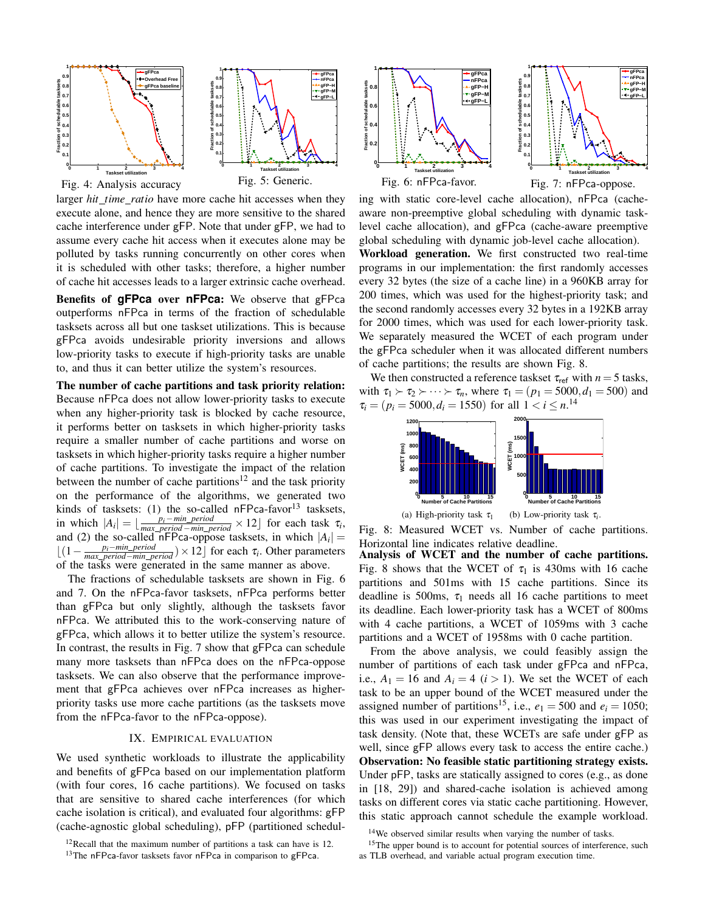

larger *hit time ratio* have more cache hit accesses when they execute alone, and hence they are more sensitive to the shared cache interference under gFP. Note that under gFP, we had to assume every cache hit access when it executes alone may be polluted by tasks running concurrently on other cores when it is scheduled with other tasks; therefore, a higher number of cache hit accesses leads to a larger extrinsic cache overhead.

Benefits of **gFPca** over **nFPca**: We observe that gFPca outperforms nFPca in terms of the fraction of schedulable tasksets across all but one taskset utilizations. This is because gFPca avoids undesirable priority inversions and allows low-priority tasks to execute if high-priority tasks are unable to, and thus it can better utilize the system's resources.

The number of cache partitions and task priority relation: Because nFPca does not allow lower-priority tasks to execute when any higher-priority task is blocked by cache resource, it performs better on tasksets in which higher-priority tasks require a smaller number of cache partitions and worse on tasksets in which higher-priority tasks require a higher number of cache partitions. To investigate the impact of the relation between the number of cache partitions<sup>12</sup> and the task priority on the performance of the algorithms, we generated two kinds of tasksets: (1) the so-called  $nFPca-favor<sup>13</sup>$  tasksets, in which  $|A_i| = \lfloor \frac{p_i - min\_period}{max\_period - min\_period} \times 12 \rfloor$  for each task  $\tau_i$ , and (2) the so-called nFPca-oppose tasksets, in which  $|A_i|$  =  $\lfloor (1 - \frac{p_i - \min\_period}{\max\_period - \min\_period}) \times 12 \rfloor$  for each  $\tau_i$ . Other parameters of the tasks were generated in the same manner as above.

The fractions of schedulable tasksets are shown in Fig. 6 and 7. On the nFPca-favor tasksets, nFPca performs better than gFPca but only slightly, although the tasksets favor nFPca. We attributed this to the work-conserving nature of gFPca, which allows it to better utilize the system's resource. In contrast, the results in Fig. 7 show that gFPca can schedule many more tasksets than nFPca does on the nFPca-oppose tasksets. We can also observe that the performance improvement that gFPca achieves over nFPca increases as higherpriority tasks use more cache partitions (as the tasksets move from the nFPca-favor to the nFPca-oppose).

#### IX. EMPIRICAL EVALUATION

We used synthetic workloads to illustrate the applicability and benefits of gFPca based on our implementation platform (with four cores, 16 cache partitions). We focused on tasks that are sensitive to shared cache interferences (for which cache isolation is critical), and evaluated four algorithms: gFP (cache-agnostic global scheduling), pFP (partitioned schedul-

<sup>13</sup>The nFPca-favor tasksets favor nFPca in comparison to gFPca.



ing with static core-level cache allocation), nFPca (cacheaware non-preemptive global scheduling with dynamic tasklevel cache allocation), and gFPca (cache-aware preemptive global scheduling with dynamic job-level cache allocation). Workload generation. We first constructed two real-time programs in our implementation: the first randomly accesses every 32 bytes (the size of a cache line) in a 960KB array for 200 times, which was used for the highest-priority task; and the second randomly accesses every 32 bytes in a 192KB array for 2000 times, which was used for each lower-priority task. We separately measured the WCET of each program under the gFPca scheduler when it was allocated different numbers of cache partitions; the results are shown Fig. 8.

We then constructed a reference taskset  $\tau_{ref}$  with  $n = 5$  tasks, with  $\tau_1 \succ \tau_2 \succ \cdots \succ \tau_n$ , where  $\tau_1 = (p_1 = 5000, d_1 = 500)$  and  $\tau_i = (p_i = 5000, d_i = 1550)$  for all  $1 < i \leq n$ .<sup>14</sup>



Fig. 8: Measured WCET vs. Number of cache partitions. Horizontal line indicates relative deadline.

Analysis of WCET and the number of cache partitions. Fig. 8 shows that the WCET of  $\tau_1$  is 430ms with 16 cache partitions and 501ms with 15 cache partitions. Since its deadline is 500ms,  $\tau_1$  needs all 16 cache partitions to meet its deadline. Each lower-priority task has a WCET of 800ms with 4 cache partitions, a WCET of 1059ms with 3 cache partitions and a WCET of 1958ms with 0 cache partition.

From the above analysis, we could feasibly assign the number of partitions of each task under gFPca and nFPca, i.e.,  $A_1 = 16$  and  $A_i = 4$  ( $i > 1$ ). We set the WCET of each task to be an upper bound of the WCET measured under the assigned number of partitions<sup>15</sup>, i.e.,  $e_1 = 500$  and  $e_i = 1050$ ; this was used in our experiment investigating the impact of task density. (Note that, these WCETs are safe under gFP as well, since gFP allows every task to access the entire cache.) Observation: No feasible static partitioning strategy exists. Under pFP, tasks are statically assigned to cores (e.g., as done in [18, 29]) and shared-cache isolation is achieved among tasks on different cores via static cache partitioning. However, this static approach cannot schedule the example workload.

<sup>15</sup>The upper bound is to account for potential sources of interference, such as TLB overhead, and variable actual program execution time.

 $12$ Recall that the maximum number of partitions a task can have is 12.

<sup>&</sup>lt;sup>14</sup>We observed similar results when varying the number of tasks.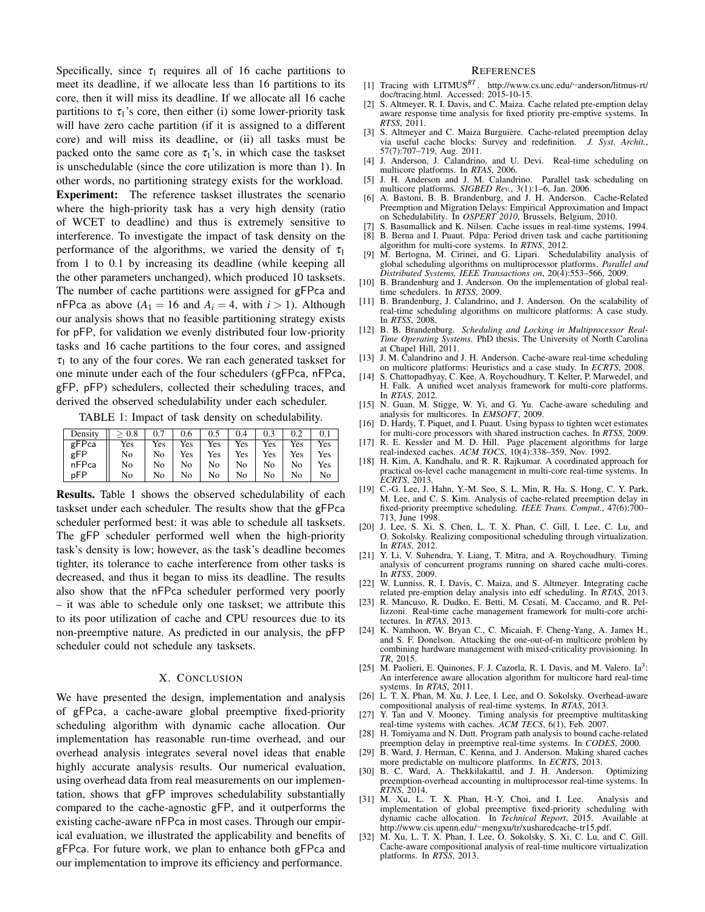Specifically, since  $\tau_1$  requires all of 16 cache partitions to meet its deadline, if we allocate less than 16 partitions to its core, then it will miss its deadline. If we allocate all 16 cache partitions to  $\tau_1$ 's core, then either (i) some lower-priority task will have zero cache partition (if it is assigned to a different core) and will miss its deadline, or (ii) all tasks must be packed onto the same core as  $\tau_1$ 's, in which case the taskset is unschedulable (since the core utilization is more than 1). In other words, no partitioning strategy exists for the workload.

Experiment: The reference taskset illustrates the scenario where the high-priority task has a very high density (ratio of WCET to deadline) and thus is extremely sensitive to interference. To investigate the impact of task density on the performance of the algorithms, we varied the density of  $\tau_1$ from 1 to 0.1 by increasing its deadline (while keeping all the other parameters unchanged), which produced 10 tasksets. The number of cache partitions were assigned for gFPca and nFPca as above  $(A_1 = 16$  and  $A_i = 4$ , with  $i > 1$ ). Although our analysis shows that no feasible partitioning strategy exists for pFP, for validation we evenly distributed four low-priority tasks and 16 cache partitions to the four cores, and assigned  $\tau_1$  to any of the four cores. We ran each generated taskset for one minute under each of the four schedulers (gFPca, nFPca, gFP, pFP) schedulers, collected their scheduling traces, and derived the observed schedulability under each scheduler.

TABLE 1: Impact of task density on schedulability.

| Density | 0.8 | 0.7 | 0.6 |     | 0.4 | 0.3 | 0.2 | 0.1 |
|---------|-----|-----|-----|-----|-----|-----|-----|-----|
| gFPca   | Yes | Yes | Yes | Yes | Yes | Yes | Yes | Yes |
| gFP     | No  | No  | Yes | Yes | Yes | Yes | Yes | Yes |
| nFPca   | No  | No  | No  | No  | No  | No  | No  | Yes |
| pFP     | No  | No  | No  | No  | No  | No  | No  | No  |

Results. Table 1 shows the observed schedulability of each taskset under each scheduler. The results show that the gFPca scheduler performed best: it was able to schedule all tasksets. The gFP scheduler performed well when the high-priority task's density is low; however, as the task's deadline becomes tighter, its tolerance to cache interference from other tasks is decreased, and thus it began to miss its deadline. The results also show that the nFPca scheduler performed very poorly – it was able to schedule only one taskset; we attribute this to its poor utilization of cache and CPU resources due to its non-preemptive nature. As predicted in our analysis, the pFP scheduler could not schedule any tasksets.

#### X. CONCLUSION

We have presented the design, implementation and analysis of gFPca, a cache-aware global preemptive fixed-priority scheduling algorithm with dynamic cache allocation. Our implementation has reasonable run-time overhead, and our overhead analysis integrates several novel ideas that enable highly accurate analysis results. Our numerical evaluation, using overhead data from real measurements on our implementation, shows that gFP improves schedulability substantially compared to the cache-agnostic gFP, and it outperforms the existing cache-aware nFPca in most cases. Through our empirical evaluation, we illustrated the applicability and benefits of gFPca. For future work, we plan to enhance both gFPca and our implementation to improve its efficiency and performance.

#### **REFERENCES**

- [1] Tracing with LITMUS*RT* . http://www.cs.unc.edu/∼anderson/litmus-rt/ doc/tracing.html. Accessed: 2015-10-15.
- [2] S. Altmeyer, R. I. Davis, and C. Maiza. Cache related pre-emption delay aware response time analysis for fixed priority pre-emptive systems. In *RTSS*, 2011.
- [3] S. Altmeyer and C. Maiza Burguière. Cache-related preemption delay via useful cache blocks: Survey and redefinition. *J. Syst. Archit.*, 57(7):707–719, Aug. 2011.
- [4] J. Anderson, J. Calandrino, and U. Devi. Real-time scheduling on multicore platforms. In *RTAS*, 2006.
- [5] J. H. Anderson and J. M. Calandrino. Parallel task scheduling on multicore platforms. *SIGBED Rev.*, 3(1):1–6, Jan. 2006.
- [6] A. Bastoni, B. B. Brandenburg, and J. H. Anderson. Cache-Related Preemption and Migration Delays: Empirical Approximation and Impact on Schedulability. In *OSPERT 2010*, Brussels, Belgium, 2010.
- S. Basumallick and K. Nilsen. Cache issues in real-time systems, 1994. [8] B. Berna and I. Puaut. Pdpa: Period driven task and cache partitioning
- algorithm for multi-core systems. In *RTNS*, 2012.
- [9] M. Bertogna, M. Cirinei, and G. Lipari. Schedulability analysis of global scheduling algorithms on multiprocessor platforms. *Parallel and Distributed Systems, IEEE Transactions on*, 20(4):553–566, 2009.
- [10] B. Brandenburg and J. Anderson. On the implementation of global realtime schedulers. In *RTSS*, 2009.
- [11] B. Brandenburg, J. Calandrino, and J. Anderson. On the scalability of real-time scheduling algorithms on multicore platforms: A case study. In *RTSS*, 2008.
- [12] B. B. Brandenburg. Scheduling and Locking in Multiprocessor Real-*Time Operating Systems*. PhD thesis, The University of North Carolina at Chapel Hill, 2011.
- [13] J. M. Calandrino and J. H. Anderson. Cache-aware real-time scheduling on multicore platforms: Heuristics and a case study. In *ECRTS*, 2008.
- [14] S. Chattopadhyay, C. Kee, A. Roychoudhury, T. Kelter, P. Marwedel, and H. Falk. A unified wcet analysis framework for multi-core platforms. In *RTAS*, 2012.
- [15] N. Guan, M. Stigge, W. Yi, and G. Yu. Cache-aware scheduling and analysis for multicores. In *EMSOFT*, 2009.
- [16] D. Hardy, T. Piquet, and I. Puaut. Using bypass to tighten wcet estimates for multi-core processors with shared instruction caches. In *RTSS*, 2009.
- [17] R. E. Kessler and M. D. Hill. Page placement algorithms for large real-indexed caches. *ACM TOCS*, 10(4):338–359, Nov. 1992.
- [18] H. Kim, A. Kandhalu, and R. R. Rajkumar. A coordinated approach for practical os-level cache management in multi-core real-time systems. In *ECRTS*, 2013.
- [19] C.-G. Lee, J. Hahn, Y.-M. Seo, S. L. Min, R. Ha, S. Hong, C. Y. Park, M. Lee, and C. S. Kim. Analysis of cache-related preemption delay in fixed-priority preemptive scheduling. *IEEE Trans. Comput.*, 47(6):700– 713, June 1998.
- [20] J. Lee, S. Xi, S. Chen, L. T. X. Phan, C. Gill, I. Lee, C. Lu, and O. Sokolsky. Realizing compositional scheduling through virtualization. In *RTAS*, 2012.
- [21] Y. Li, V. Suhendra, Y. Liang, T. Mitra, and A. Roychoudhury. Timing analysis of concurrent programs running on shared cache multi-cores. In *RTSS*, 2009.
- [22] W. Lunniss, R. I. Davis, C. Maiza, and S. Altmeyer. Integrating cache related pre-emption delay analysis into edf scheduling. In *RTAS*, 2013.
- [23] R. Mancuso, R. Dudko, E. Betti, M. Cesati, M. Caccamo, and R. Pellizzoni. Real-time cache management framework for multi-core architectures. In *RTAS*, 2013.
- [24] K. Namhoon, W. Bryan C., C. Micaiah, F. Cheng-Yang, A. James H., and S. F. Donelson. Attacking the one-out-of-m multicore problem by combining hardware management with mixed-criticality provisioning. In *TR*, 2015.
- [25] M. Paolieri, E. Quinones, F. J. Cazorla, R. I. Davis, and M. Valero.  $Ia<sup>3</sup>$ : An interference aware allocation algorithm for multicore hard real-time systems. In *RTAS*, 2011.
- [26] L. T. X. Phan, M. Xu, J. Lee, I. Lee, and O. Sokolsky. Overhead-aware compositional analysis of real-time systems. In *RTAS*, 2013.
- [27] Y. Tan and V. Mooney. Timing analysis for preemptive multitasking real-time systems with caches. *ACM TECS*, 6(1), Feb. 2007.
- [28] H. Tomiyama and N. Dutt. Program path analysis to bound cache-related preemption delay in preemptive real-time systems. In *CODES*, 2000.
- [29] B. Ward, J. Herman, C. Kenna, and J. Anderson. Making shared caches more predictable on multicore platforms. In *ECRTS*, 2013.<br>B. C. Ward, A. Thekkilakattil, and J. H. Anderson. Optimizing
- [30] B. C. Ward, A. Thekkilakattil, and J. H. Anderson. preemption-overhead accounting in multiprocessor real-time systems. In *RTNS*, 2014.
- [31] M. Xu, L. T. X. Phan, H.-Y. Choi, and I. Lee. Analysis and implementation of global preemptive fixed-priority scheduling with dynamic cache allocation. In *Technical Report*, 2015. Available at http://www.cis.upenn.edu/∼mengxu/tr/xusharedcache-tr15.pdf.
- [32] M. Xu, L. T. X. Phan, I. Lee, O. Sokolsky, S. Xi, C. Lu, and C. Gill. Cache-aware compositional analysis of real-time multicore virtualization platforms. In *RTSS*, 2013.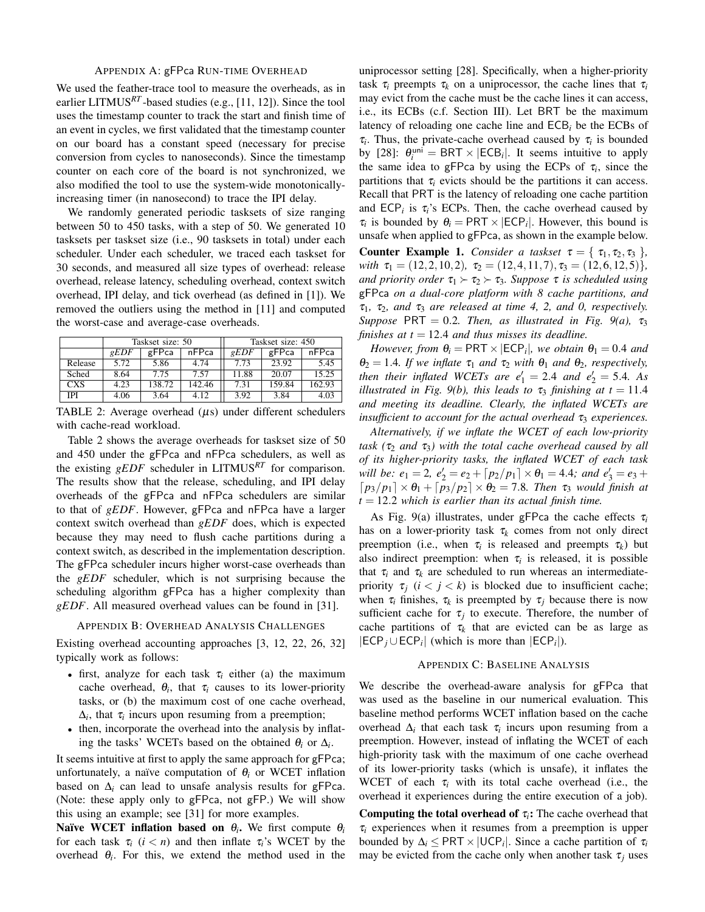#### APPENDIX A: gFPca RUN-TIME OVERHEAD

We used the feather-trace tool to measure the overheads, as in earlier LITMUS*RT* -based studies (e.g., [11, 12]). Since the tool uses the timestamp counter to track the start and finish time of an event in cycles, we first validated that the timestamp counter on our board has a constant speed (necessary for precise conversion from cycles to nanoseconds). Since the timestamp counter on each core of the board is not synchronized, we also modified the tool to use the system-wide monotonicallyincreasing timer (in nanosecond) to trace the IPI delay.

We randomly generated periodic tasksets of size ranging between 50 to 450 tasks, with a step of 50. We generated 10 tasksets per taskset size (i.e., 90 tasksets in total) under each scheduler. Under each scheduler, we traced each taskset for 30 seconds, and measured all size types of overhead: release overhead, release latency, scheduling overhead, context switch overhead, IPI delay, and tick overhead (as defined in [1]). We removed the outliers using the method in [11] and computed the worst-case and average-case overheads.

|            |                | Taskset size: 50 |        | Taskset size: 450 |        |        |  |
|------------|----------------|------------------|--------|-------------------|--------|--------|--|
|            | $\epsilon EDF$ | gFPca            | nFPca  | $\epsilon EDF$    | gFPca  | nFPca  |  |
| Release    | 5.72           | 5.86             | 4.74   | 7.73              | 23.92  | 5.45   |  |
| Sched      | 8.64           | 7.75             | 7.57   | 11.88             | 20.07  | 15.25  |  |
| <b>CXS</b> | 4.23           | 138.72           | 142.46 | 7.31              | 159.84 | 162.93 |  |
| IPI        | 4.06           | 3.64             | 4.12   | 3.92              | 3.84   | 4.03   |  |

TABLE 2: Average overhead  $(\mu s)$  under different schedulers with cache-read workload.

Table 2 shows the average overheads for taskset size of 50 and 450 under the gFPca and nFPca schedulers, as well as the existing *gEDF* scheduler in LITMUS*RT* for comparison. The results show that the release, scheduling, and IPI delay overheads of the gFPca and nFPca schedulers are similar to that of *gEDF*. However, gFPca and nFPca have a larger context switch overhead than *gEDF* does, which is expected because they may need to flush cache partitions during a context switch, as described in the implementation description. The gFPca scheduler incurs higher worst-case overheads than the *gEDF* scheduler, which is not surprising because the scheduling algorithm gFPca has a higher complexity than *gEDF*. All measured overhead values can be found in [31].

```
APPENDIX B: OVERHEAD ANALYSIS CHALLENGES
```
Existing overhead accounting approaches [3, 12, 22, 26, 32] typically work as follows:

- first, analyze for each task  $\tau_i$  either (a) the maximum cache overhead,  $\theta_i$ , that  $\tau_i$  causes to its lower-priority tasks, or (b) the maximum cost of one cache overhead,  $\Delta_i$ , that  $\tau_i$  incurs upon resuming from a preemption;
- then, incorporate the overhead into the analysis by inflating the tasks' WCETs based on the obtained  $\theta_i$  or  $\Delta_i$ .

It seems intuitive at first to apply the same approach for gFPca; unfortunately, a naïve computation of  $\theta_i$  or WCET inflation based on ∆*<sup>i</sup>* can lead to unsafe analysis results for gFPca. (Note: these apply only to gFPca, not gFP.) We will show this using an example; see [31] for more examples.

Naïve WCET inflation based on  $\theta_i$ . We first compute  $\theta_i$ for each task  $\tau_i$  ( $i < n$ ) and then inflate  $\tau_i$ 's WCET by the overhead  $\theta_i$ . For this, we extend the method used in the uniprocessor setting [28]. Specifically, when a higher-priority task  $\tau_i$  preempts  $\tau_k$  on a uniprocessor, the cache lines that  $\tau_i$ may evict from the cache must be the cache lines it can access, i.e., its ECBs (c.f. Section III). Let BRT be the maximum latency of reloading one cache line and ECB*<sup>i</sup>* be the ECBs of  $\tau_i$ . Thus, the private-cache overhead caused by  $\tau_i$  is bounded by [28]:  $\theta_i^{\text{uni}} = \text{BRT} \times |\text{ECB}_i|$ . It seems intuitive to apply the same idea to gFPca by using the ECPs of  $\tau_i$ , since the partitions that  $\tau_i$  evicts should be the partitions it can access. Recall that PRT is the latency of reloading one cache partition and  $\text{ECP}_i$  is  $\tau_i$ 's ECPs. Then, the cache overhead caused by  $\tau_i$  is bounded by  $\theta_i = \text{PRT} \times |\text{ECP}_i|$ . However, this bound is unsafe when applied to gFPca, as shown in the example below. **Counter Example 1.** *Consider a taskset*  $\tau = \{ \tau_1, \tau_2, \tau_3 \}$ , *with*  $\tau_1 = (12, 2, 10, 2), \tau_2 = (12, 4, 11, 7), \tau_3 = (12, 6, 12, 5)$ *}*, *and priority order*  $\tau_1 \succ \tau_2 \succ \tau_3$ *. Suppose*  $\tau$  *is scheduled using* 

gFPca *on a dual-core platform with 8 cache partitions, and*  $\tau_1$ ,  $\tau_2$ , and  $\tau_3$  are released at time 4, 2, and 0, respectively. *Suppose* PRT = 0.2*. Then, as illustrated in Fig. 9(a),*  $\tau_3$ *finishes at t* = 12.4 *and thus misses its deadline.* 

*However, from*  $\theta_i = \text{PRT} \times |\text{ECP}_i|$ , we obtain  $\theta_1 = 0.4$  and  $\theta_2 = 1.4$ *. If we inflate*  $\tau_1$  *and*  $\tau_2$  *with*  $\theta_1$  *and*  $\theta_2$ *, respectively, then their inflated WCETs are*  $e'_1 = 2.4$  *and*  $e'_2 = 5.4$ *. As illustrated in Fig. 9(b), this leads to*  $\tau_3$  *finishing at*  $t = 11.4$ *and meeting its deadline. Clearly, the inflated WCETs are insufficient to account for the actual overhead*  $\tau_3$  *experiences.* 

*Alternatively, if we inflate the WCET of each low-priority task* (τ<sub>2</sub> *and* τ<sub>3</sub>) with the total cache overhead caused by all *of its higher-priority tasks, the inflated WCET of each task will be:*  $e_1 = 2$ ,  $e'_2 = e_2 + \lfloor p_2/p_1 \rfloor \times \theta_1 = 4.4$ *; and*  $e'_3 = e_3 +$  $[p_3/p_1] \times \theta_1 + [p_3/p_2] \times \theta_2 = 7.8$ *. Then*  $\tau_3$  *would finish at t* = 12.2 *which is earlier than its actual finish time.*

As Fig. 9(a) illustrates, under gFPca the cache effects  $\tau_i$ has on a lower-priority task  $\tau_k$  comes from not only direct preemption (i.e., when  $\tau_i$  is released and preempts  $\tau_k$ ) but also indirect preemption: when  $\tau_i$  is released, it is possible that  $\tau_i$  and  $\tau_k$  are scheduled to run whereas an intermediatepriority  $\tau_i$  ( $i < j < k$ ) is blocked due to insufficient cache; when  $\tau_i$  finishes,  $\tau_k$  is preempted by  $\tau_j$  because there is now sufficient cache for  $\tau_j$  to execute. Therefore, the number of cache partitions of  $\tau_k$  that are evicted can be as large as  $|ECP_j \cup ECP_i|$  (which is more than  $|ECP_i|$ ).

#### APPENDIX C: BASELINE ANALYSIS

We describe the overhead-aware analysis for gFPca that was used as the baseline in our numerical evaluation. This baseline method performs WCET inflation based on the cache overhead  $\Delta_i$  that each task  $\tau_i$  incurs upon resuming from a preemption. However, instead of inflating the WCET of each high-priority task with the maximum of one cache overhead of its lower-priority tasks (which is unsafe), it inflates the WCET of each  $\tau_i$  with its total cache overhead (i.e., the overhead it experiences during the entire execution of a job).

**Computing the total overhead of**  $\tau_i$ **:** The cache overhead that  $\tau_i$  experiences when it resumes from a preemption is upper bounded by  $\Delta_i \leq PRT \times |UCP_i|$ . Since a cache partition of  $\tau_i$ may be evicted from the cache only when another task  $\tau_i$  uses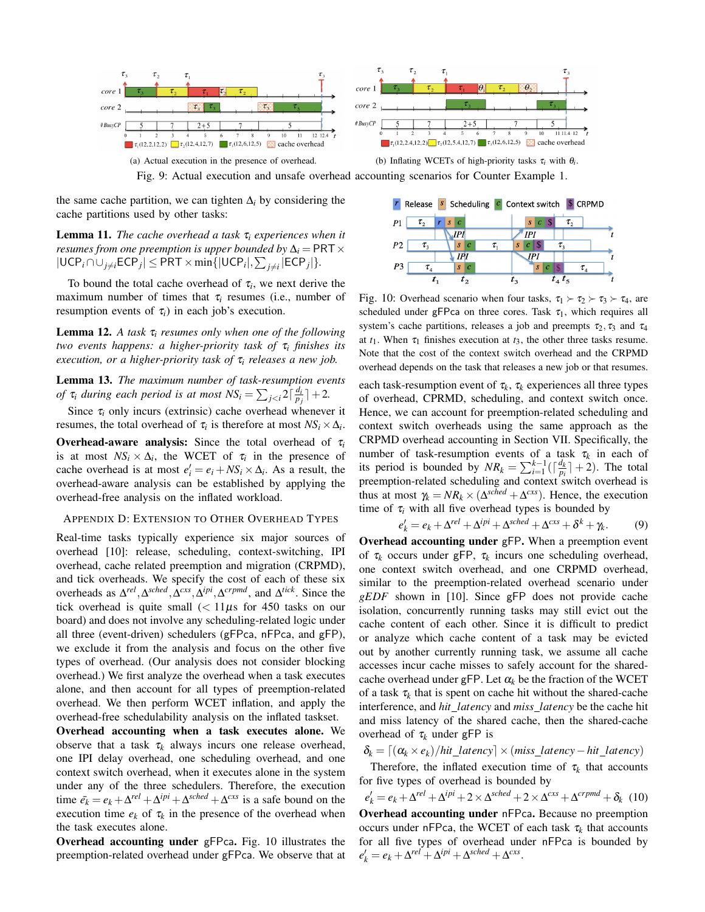

Fig. 9: Actual execution and unsafe overhead accounting scenarios for Counter Example 1.

the same cache partition, we can tighten  $\Delta$ *i* by considering the cache partitions used by other tasks:

**Lemma 11.** *The cache overhead a task*  $\tau_i$  *experiences when it resumes from one preemption is upper bounded by*  $\Delta_i = \text{PRT} \times$  $|UCP_i \cap \bigcup_{j \neq i} ECP_j| \leq PRT \times min\{|UCP_i|, \sum_{j \neq i} |ECP_j|\}.$ 

To bound the total cache overhead of  $\tau_i$ , we next derive the maximum number of times that τ*<sup>i</sup>* resumes (i.e., number of resumption events of  $\tau_i$ ) in each job's execution.

Lemma 12. *A task* τ*<sup>i</sup> resumes only when one of the following two events happens: a higher-priority task of* τ*<sup>i</sup> finishes its execution, or a higher-priority task of* τ*<sup>i</sup> releases a new job.*

Lemma 13. *The maximum number of task-resumption events of*  $\tau_i$  *during each period is at most*  $NS_i = \sum_{j*.*$ 

Since  $\tau_i$  only incurs (extrinsic) cache overhead whenever it resumes, the total overhead of  $\tau_i$  is therefore at most  $NS_i \times \Delta_i$ .

**Overhead-aware analysis:** Since the total overhead of  $\tau_i$ is at most  $NS_i \times \Delta_i$ , the WCET of  $\tau_i$  in the presence of cache overhead is at most  $e'_i = e_i + NS_i \times \Delta_i$ . As a result, the overhead-aware analysis can be established by applying the overhead-free analysis on the inflated workload.

#### APPENDIX D: EXTENSION TO OTHER OVERHEAD TYPES

Real-time tasks typically experience six major sources of overhead [10]: release, scheduling, context-switching, IPI overhead, cache related preemption and migration (CRPMD), and tick overheads. We specify the cost of each of these six overheads as  $\Delta^{rel}$ ,  $\Delta^{sched}$ ,  $\Delta^{cxs}$ ,  $\Delta^{ipi}$ ,  $\Delta^{crpmd}$ , and  $\Delta^{tick}$ . Since the tick overhead is quite small  $\ll 11\mu s$  for 450 tasks on our board) and does not involve any scheduling-related logic under all three (event-driven) schedulers (gFPca, nFPca, and gFP), we exclude it from the analysis and focus on the other five types of overhead. (Our analysis does not consider blocking overhead.) We first analyze the overhead when a task executes alone, and then account for all types of preemption-related overhead. We then perform WCET inflation, and apply the overhead-free schedulability analysis on the inflated taskset.

Overhead accounting when a task executes alone. We observe that a task  $\tau_k$  always incurs one release overhead, one IPI delay overhead, one scheduling overhead, and one context switch overhead, when it executes alone in the system under any of the three schedulers. Therefore, the execution time  $\bar{e_k} = e_k + \Delta^{rel} + \Delta^{ipi} + \Delta^{sched} + \Delta^{cxs}$  is a safe bound on the execution time  $e_k$  of  $\tau_k$  in the presence of the overhead when the task executes alone.

Overhead accounting under gFPca. Fig. 10 illustrates the preemption-related overhead under gFPca. We observe that at



Fig. 10: Overhead scenario when four tasks,  $\tau_1 \succ \tau_2 \succ \tau_3 \succ \tau_4$ , are scheduled under gFPca on three cores. Task  $\tau_1$ , which requires all system's cache partitions, releases a job and preempts  $\tau_2$ ,  $\tau_3$  and  $\tau_4$ at  $t_1$ . When  $\tau_1$  finishes execution at  $t_3$ , the other three tasks resume. Note that the cost of the context switch overhead and the CRPMD overhead depends on the task that releases a new job or that resumes.

each task-resumption event of  $\tau_k$ ,  $\tau_k$  experiences all three types of overhead, CPRMD, scheduling, and context switch once. Hence, we can account for preemption-related scheduling and context switch overheads using the same approach as the CRPMD overhead accounting in Section VII. Specifically, the number of task-resumption events of a task  $\tau_k$  in each of its period is bounded by  $NR_k = \sum_{i=1}^{k-1} (\lceil \frac{d_k}{p_i} \rceil + 2)$ . The total preemption-related scheduling and context switch overhead is thus at most  $\gamma_k = NR_k \times (\Delta^{sched} + \Delta^{crs})$ . Hence, the execution time of  $\tau_i$  with all five overhead types is bounded by

$$
e'_{k} = e_{k} + \Delta^{rel} + \Delta^{ipi} + \Delta^{sched} + \Delta^{cxs} + \delta^{k} + \gamma_{k}.
$$
 (9)

Overhead accounting under gFP. When a preemption event of τ*<sup>k</sup>* occurs under gFP, τ*<sup>k</sup>* incurs one scheduling overhead, one context switch overhead, and one CRPMD overhead, similar to the preemption-related overhead scenario under *gEDF* shown in [10]. Since gFP does not provide cache isolation, concurrently running tasks may still evict out the cache content of each other. Since it is difficult to predict or analyze which cache content of a task may be evicted out by another currently running task, we assume all cache accesses incur cache misses to safely account for the sharedcache overhead under gFP. Let  $\alpha_k$  be the fraction of the WCET of a task  $\tau_k$  that is spent on cache hit without the shared-cache interference, and *hit latency* and *miss latency* be the cache hit and miss latency of the shared cache, then the shared-cache overhead of  $\tau_k$  under gFP is

$$
\delta_k = \left[ \left( \alpha_k \times e_k \right) / hit\_latency \right] \times \left( \text{miss\_latency} - \text{hit\_latency} \right)
$$

Therefore, the inflated execution time of  $\tau_k$  that accounts for five types of overhead is bounded by

 $e'_{k} = e_{k} + \Delta^{rel} + \Delta^{ipi} + 2 \times \Delta^{sched} + 2 \times \Delta^{crs} + \Delta^{crpmd} + \delta_{k}$  (10) Overhead accounting under nFPca. Because no preemption occurs under nFPca, the WCET of each task  $\tau_k$  that accounts for all five types of overhead under nFPca is bounded by  $e'_{k} = e_{k} + \Delta^{rel} + \Delta^{ipi} + \Delta^{sched} + \Delta^{crs}.$